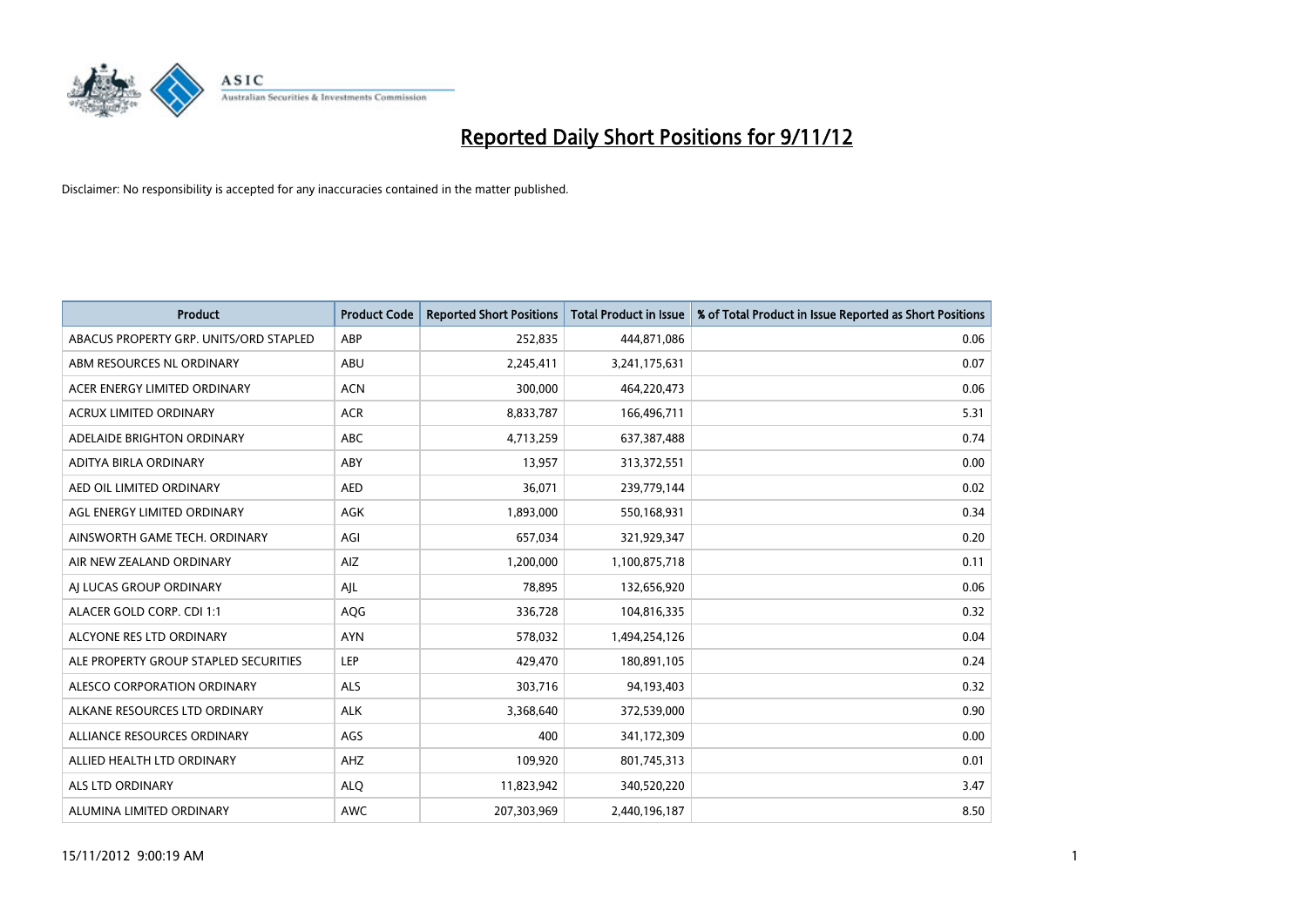

| <b>Product</b>                         | <b>Product Code</b> | <b>Reported Short Positions</b> | <b>Total Product in Issue</b> | % of Total Product in Issue Reported as Short Positions |
|----------------------------------------|---------------------|---------------------------------|-------------------------------|---------------------------------------------------------|
| ABACUS PROPERTY GRP. UNITS/ORD STAPLED | ABP                 | 252,835                         | 444,871,086                   | 0.06                                                    |
| ABM RESOURCES NL ORDINARY              | ABU                 | 2,245,411                       | 3,241,175,631                 | 0.07                                                    |
| ACER ENERGY LIMITED ORDINARY           | <b>ACN</b>          | 300,000                         | 464,220,473                   | 0.06                                                    |
| ACRUX LIMITED ORDINARY                 | <b>ACR</b>          | 8,833,787                       | 166,496,711                   | 5.31                                                    |
| ADELAIDE BRIGHTON ORDINARY             | <b>ABC</b>          | 4,713,259                       | 637,387,488                   | 0.74                                                    |
| ADITYA BIRLA ORDINARY                  | ABY                 | 13,957                          | 313,372,551                   | 0.00                                                    |
| AED OIL LIMITED ORDINARY               | <b>AED</b>          | 36,071                          | 239,779,144                   | 0.02                                                    |
| AGL ENERGY LIMITED ORDINARY            | <b>AGK</b>          | 1,893,000                       | 550,168,931                   | 0.34                                                    |
| AINSWORTH GAME TECH. ORDINARY          | AGI                 | 657,034                         | 321,929,347                   | 0.20                                                    |
| AIR NEW ZEALAND ORDINARY               | AIZ                 | 1,200,000                       | 1,100,875,718                 | 0.11                                                    |
| AJ LUCAS GROUP ORDINARY                | AJL                 | 78,895                          | 132,656,920                   | 0.06                                                    |
| ALACER GOLD CORP. CDI 1:1              | AQG                 | 336,728                         | 104,816,335                   | 0.32                                                    |
| ALCYONE RES LTD ORDINARY               | <b>AYN</b>          | 578,032                         | 1,494,254,126                 | 0.04                                                    |
| ALE PROPERTY GROUP STAPLED SECURITIES  | LEP                 | 429,470                         | 180,891,105                   | 0.24                                                    |
| ALESCO CORPORATION ORDINARY            | <b>ALS</b>          | 303,716                         | 94,193,403                    | 0.32                                                    |
| ALKANE RESOURCES LTD ORDINARY          | <b>ALK</b>          | 3,368,640                       | 372,539,000                   | 0.90                                                    |
| ALLIANCE RESOURCES ORDINARY            | AGS                 | 400                             | 341,172,309                   | 0.00                                                    |
| ALLIED HEALTH LTD ORDINARY             | AHZ                 | 109,920                         | 801,745,313                   | 0.01                                                    |
| <b>ALS LTD ORDINARY</b>                | <b>ALO</b>          | 11,823,942                      | 340,520,220                   | 3.47                                                    |
| ALUMINA LIMITED ORDINARY               | <b>AWC</b>          | 207,303,969                     | 2,440,196,187                 | 8.50                                                    |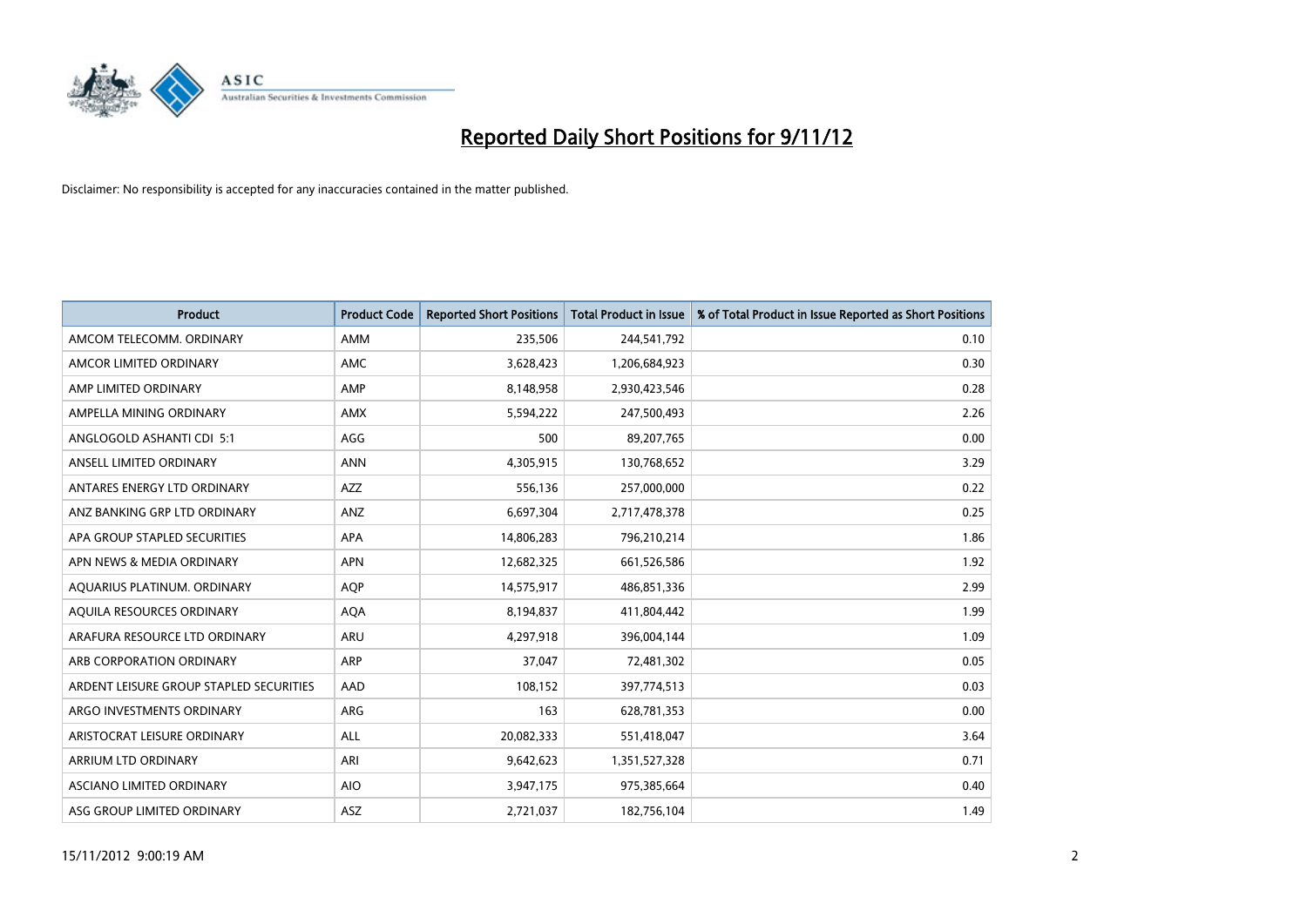

| <b>Product</b>                          | <b>Product Code</b> | <b>Reported Short Positions</b> | <b>Total Product in Issue</b> | % of Total Product in Issue Reported as Short Positions |
|-----------------------------------------|---------------------|---------------------------------|-------------------------------|---------------------------------------------------------|
| AMCOM TELECOMM, ORDINARY                | <b>AMM</b>          | 235,506                         | 244,541,792                   | 0.10                                                    |
| AMCOR LIMITED ORDINARY                  | <b>AMC</b>          | 3,628,423                       | 1,206,684,923                 | 0.30                                                    |
| AMP LIMITED ORDINARY                    | AMP                 | 8,148,958                       | 2,930,423,546                 | 0.28                                                    |
| AMPELLA MINING ORDINARY                 | <b>AMX</b>          | 5,594,222                       | 247,500,493                   | 2.26                                                    |
| ANGLOGOLD ASHANTI CDI 5:1               | AGG                 | 500                             | 89,207,765                    | 0.00                                                    |
| ANSELL LIMITED ORDINARY                 | <b>ANN</b>          | 4,305,915                       | 130,768,652                   | 3.29                                                    |
| ANTARES ENERGY LTD ORDINARY             | <b>AZZ</b>          | 556,136                         | 257,000,000                   | 0.22                                                    |
| ANZ BANKING GRP LTD ORDINARY            | ANZ                 | 6,697,304                       | 2,717,478,378                 | 0.25                                                    |
| APA GROUP STAPLED SECURITIES            | <b>APA</b>          | 14,806,283                      | 796,210,214                   | 1.86                                                    |
| APN NEWS & MEDIA ORDINARY               | <b>APN</b>          | 12,682,325                      | 661,526,586                   | 1.92                                                    |
| AQUARIUS PLATINUM. ORDINARY             | <b>AOP</b>          | 14,575,917                      | 486,851,336                   | 2.99                                                    |
| AQUILA RESOURCES ORDINARY               | <b>AQA</b>          | 8,194,837                       | 411,804,442                   | 1.99                                                    |
| ARAFURA RESOURCE LTD ORDINARY           | <b>ARU</b>          | 4,297,918                       | 396,004,144                   | 1.09                                                    |
| ARB CORPORATION ORDINARY                | ARP                 | 37.047                          | 72,481,302                    | 0.05                                                    |
| ARDENT LEISURE GROUP STAPLED SECURITIES | AAD                 | 108,152                         | 397,774,513                   | 0.03                                                    |
| ARGO INVESTMENTS ORDINARY               | ARG                 | 163                             | 628,781,353                   | 0.00                                                    |
| ARISTOCRAT LEISURE ORDINARY             | <b>ALL</b>          | 20,082,333                      | 551,418,047                   | 3.64                                                    |
| ARRIUM LTD ORDINARY                     | ARI                 | 9,642,623                       | 1,351,527,328                 | 0.71                                                    |
| <b>ASCIANO LIMITED ORDINARY</b>         | <b>AIO</b>          | 3,947,175                       | 975,385,664                   | 0.40                                                    |
| ASG GROUP LIMITED ORDINARY              | <b>ASZ</b>          | 2,721,037                       | 182,756,104                   | 1.49                                                    |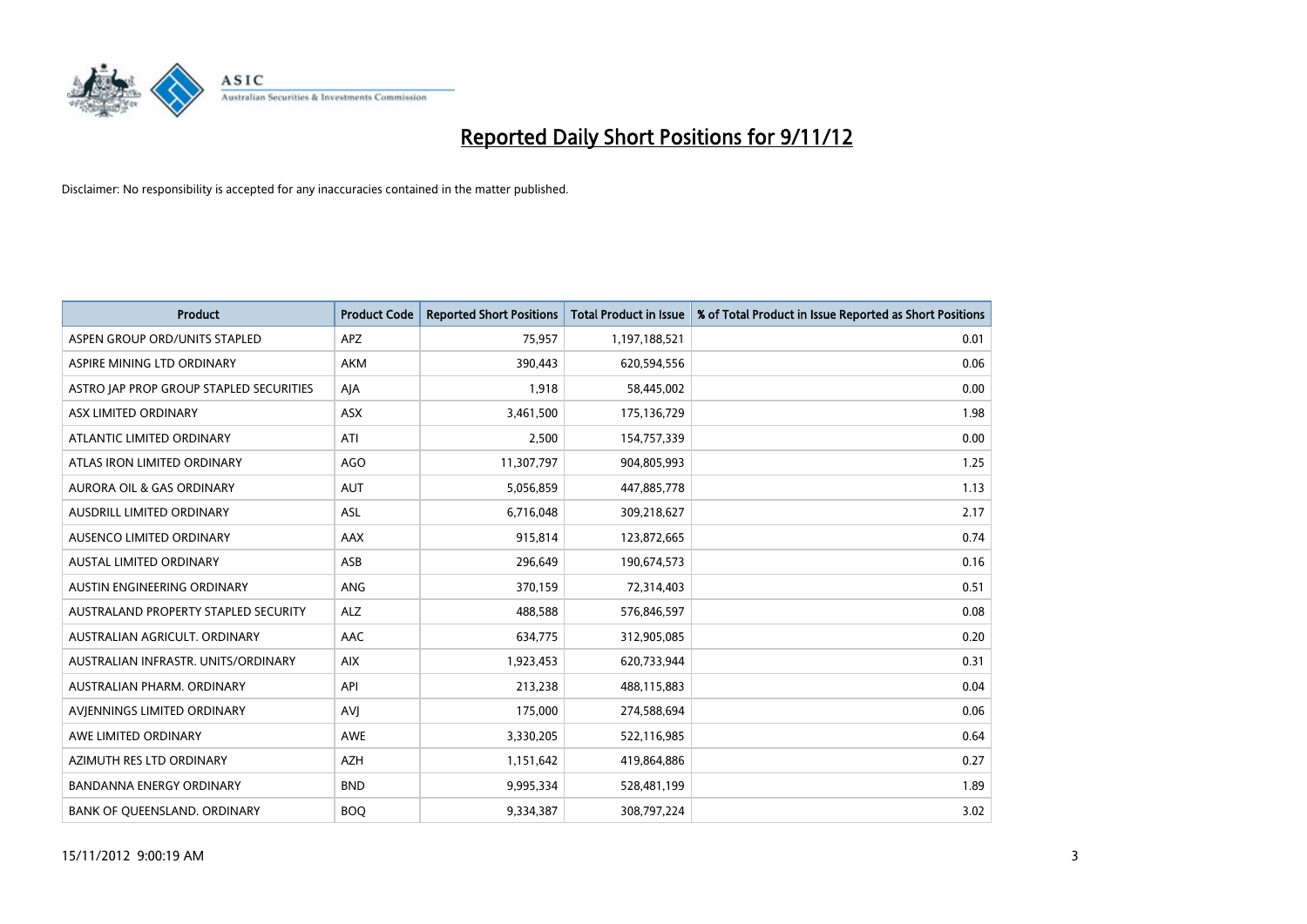

| <b>Product</b>                          | <b>Product Code</b> | <b>Reported Short Positions</b> | <b>Total Product in Issue</b> | % of Total Product in Issue Reported as Short Positions |
|-----------------------------------------|---------------------|---------------------------------|-------------------------------|---------------------------------------------------------|
| ASPEN GROUP ORD/UNITS STAPLED           | <b>APZ</b>          | 75,957                          | 1,197,188,521                 | 0.01                                                    |
| ASPIRE MINING LTD ORDINARY              | <b>AKM</b>          | 390,443                         | 620,594,556                   | 0.06                                                    |
| ASTRO JAP PROP GROUP STAPLED SECURITIES | AJA                 | 1,918                           | 58,445,002                    | 0.00                                                    |
| ASX LIMITED ORDINARY                    | ASX                 | 3,461,500                       | 175,136,729                   | 1.98                                                    |
| ATLANTIC LIMITED ORDINARY               | ATI                 | 2,500                           | 154,757,339                   | 0.00                                                    |
| ATLAS IRON LIMITED ORDINARY             | <b>AGO</b>          | 11,307,797                      | 904,805,993                   | 1.25                                                    |
| AURORA OIL & GAS ORDINARY               | <b>AUT</b>          | 5,056,859                       | 447,885,778                   | 1.13                                                    |
| AUSDRILL LIMITED ORDINARY               | <b>ASL</b>          | 6,716,048                       | 309,218,627                   | 2.17                                                    |
| AUSENCO LIMITED ORDINARY                | AAX                 | 915,814                         | 123,872,665                   | 0.74                                                    |
| <b>AUSTAL LIMITED ORDINARY</b>          | ASB                 | 296,649                         | 190,674,573                   | 0.16                                                    |
| AUSTIN ENGINEERING ORDINARY             | ANG                 | 370,159                         | 72,314,403                    | 0.51                                                    |
| AUSTRALAND PROPERTY STAPLED SECURITY    | <b>ALZ</b>          | 488,588                         | 576,846,597                   | 0.08                                                    |
| AUSTRALIAN AGRICULT. ORDINARY           | AAC                 | 634,775                         | 312,905,085                   | 0.20                                                    |
| AUSTRALIAN INFRASTR, UNITS/ORDINARY     | <b>AIX</b>          | 1,923,453                       | 620,733,944                   | 0.31                                                    |
| AUSTRALIAN PHARM, ORDINARY              | API                 | 213,238                         | 488,115,883                   | 0.04                                                    |
| AVIENNINGS LIMITED ORDINARY             | AVI                 | 175,000                         | 274,588,694                   | 0.06                                                    |
| AWE LIMITED ORDINARY                    | AWE                 | 3,330,205                       | 522,116,985                   | 0.64                                                    |
| AZIMUTH RES LTD ORDINARY                | <b>AZH</b>          | 1,151,642                       | 419,864,886                   | 0.27                                                    |
| <b>BANDANNA ENERGY ORDINARY</b>         | <b>BND</b>          | 9,995,334                       | 528,481,199                   | 1.89                                                    |
| BANK OF QUEENSLAND. ORDINARY            | <b>BOQ</b>          | 9,334,387                       | 308,797,224                   | 3.02                                                    |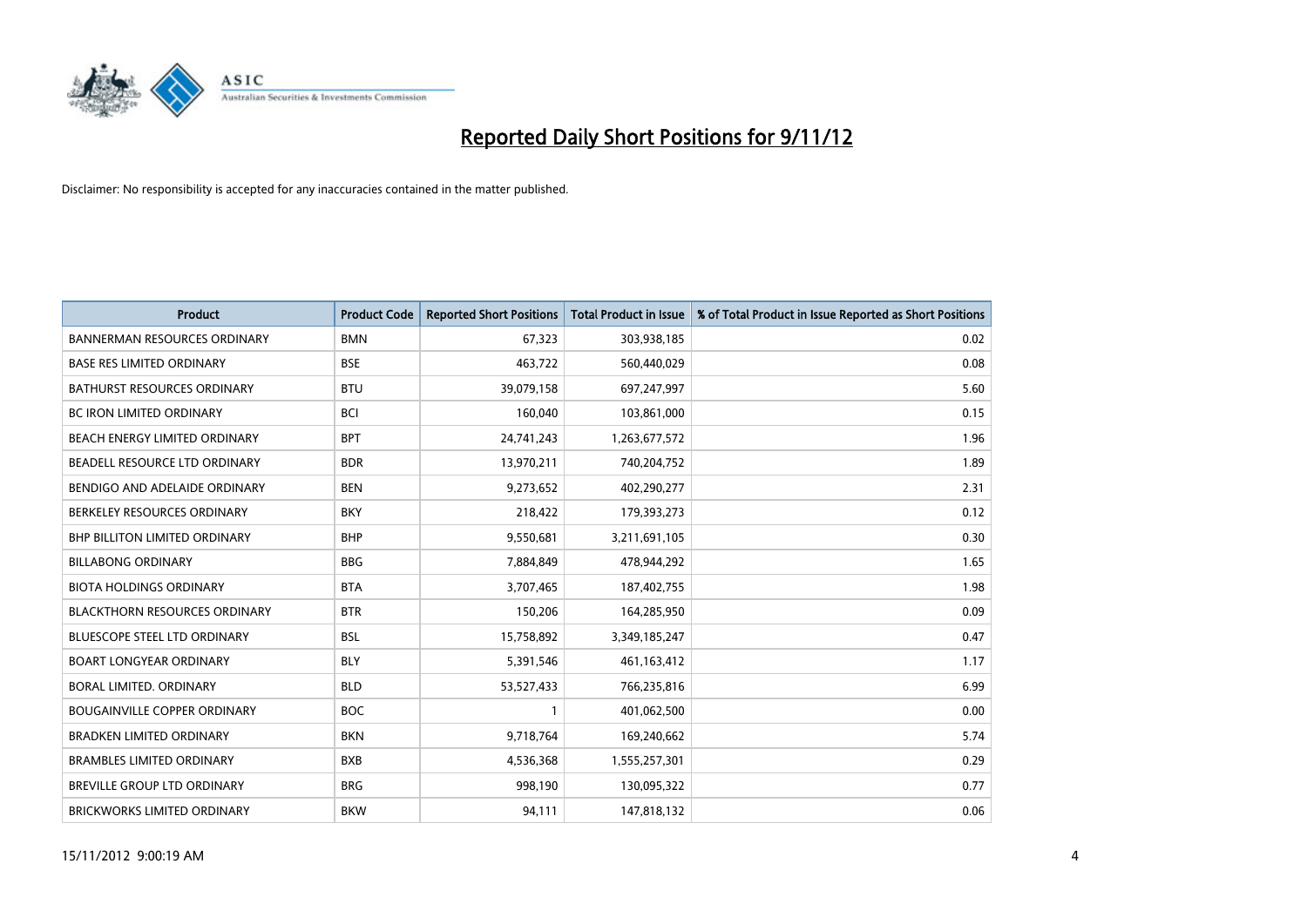

| <b>Product</b>                       | <b>Product Code</b> | <b>Reported Short Positions</b> | <b>Total Product in Issue</b> | % of Total Product in Issue Reported as Short Positions |
|--------------------------------------|---------------------|---------------------------------|-------------------------------|---------------------------------------------------------|
| <b>BANNERMAN RESOURCES ORDINARY</b>  | <b>BMN</b>          | 67,323                          | 303,938,185                   | 0.02                                                    |
| <b>BASE RES LIMITED ORDINARY</b>     | <b>BSE</b>          | 463,722                         | 560,440,029                   | 0.08                                                    |
| <b>BATHURST RESOURCES ORDINARY</b>   | <b>BTU</b>          | 39,079,158                      | 697,247,997                   | 5.60                                                    |
| BC IRON LIMITED ORDINARY             | <b>BCI</b>          | 160,040                         | 103,861,000                   | 0.15                                                    |
| <b>BEACH ENERGY LIMITED ORDINARY</b> | <b>BPT</b>          | 24,741,243                      | 1,263,677,572                 | 1.96                                                    |
| BEADELL RESOURCE LTD ORDINARY        | <b>BDR</b>          | 13,970,211                      | 740,204,752                   | 1.89                                                    |
| BENDIGO AND ADELAIDE ORDINARY        | <b>BEN</b>          | 9,273,652                       | 402,290,277                   | 2.31                                                    |
| BERKELEY RESOURCES ORDINARY          | <b>BKY</b>          | 218,422                         | 179,393,273                   | 0.12                                                    |
| BHP BILLITON LIMITED ORDINARY        | <b>BHP</b>          | 9,550,681                       | 3,211,691,105                 | 0.30                                                    |
| <b>BILLABONG ORDINARY</b>            | <b>BBG</b>          | 7,884,849                       | 478,944,292                   | 1.65                                                    |
| <b>BIOTA HOLDINGS ORDINARY</b>       | <b>BTA</b>          | 3,707,465                       | 187,402,755                   | 1.98                                                    |
| <b>BLACKTHORN RESOURCES ORDINARY</b> | <b>BTR</b>          | 150,206                         | 164,285,950                   | 0.09                                                    |
| <b>BLUESCOPE STEEL LTD ORDINARY</b>  | <b>BSL</b>          | 15,758,892                      | 3,349,185,247                 | 0.47                                                    |
| <b>BOART LONGYEAR ORDINARY</b>       | <b>BLY</b>          | 5,391,546                       | 461,163,412                   | 1.17                                                    |
| BORAL LIMITED, ORDINARY              | <b>BLD</b>          | 53,527,433                      | 766,235,816                   | 6.99                                                    |
| <b>BOUGAINVILLE COPPER ORDINARY</b>  | <b>BOC</b>          |                                 | 401,062,500                   | 0.00                                                    |
| <b>BRADKEN LIMITED ORDINARY</b>      | <b>BKN</b>          | 9,718,764                       | 169,240,662                   | 5.74                                                    |
| <b>BRAMBLES LIMITED ORDINARY</b>     | <b>BXB</b>          | 4,536,368                       | 1,555,257,301                 | 0.29                                                    |
| <b>BREVILLE GROUP LTD ORDINARY</b>   | <b>BRG</b>          | 998,190                         | 130,095,322                   | 0.77                                                    |
| <b>BRICKWORKS LIMITED ORDINARY</b>   | <b>BKW</b>          | 94,111                          | 147,818,132                   | 0.06                                                    |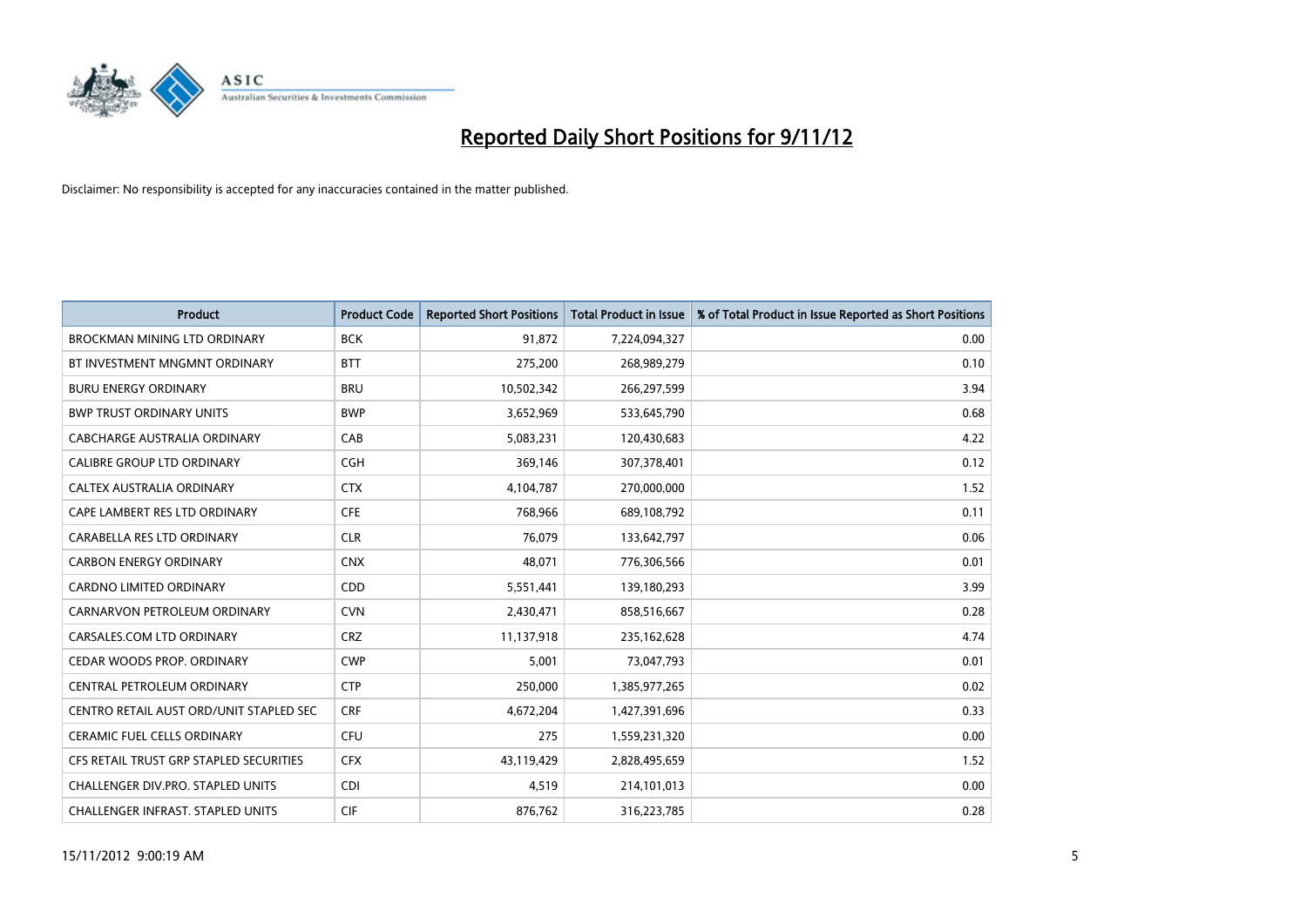

| <b>Product</b>                          | <b>Product Code</b> | <b>Reported Short Positions</b> | <b>Total Product in Issue</b> | % of Total Product in Issue Reported as Short Positions |
|-----------------------------------------|---------------------|---------------------------------|-------------------------------|---------------------------------------------------------|
| <b>BROCKMAN MINING LTD ORDINARY</b>     | <b>BCK</b>          | 91,872                          | 7,224,094,327                 | 0.00                                                    |
| BT INVESTMENT MNGMNT ORDINARY           | <b>BTT</b>          | 275,200                         | 268,989,279                   | 0.10                                                    |
| <b>BURU ENERGY ORDINARY</b>             | <b>BRU</b>          | 10,502,342                      | 266,297,599                   | 3.94                                                    |
| <b>BWP TRUST ORDINARY UNITS</b>         | <b>BWP</b>          | 3,652,969                       | 533,645,790                   | 0.68                                                    |
| CABCHARGE AUSTRALIA ORDINARY            | CAB                 | 5,083,231                       | 120,430,683                   | 4.22                                                    |
| <b>CALIBRE GROUP LTD ORDINARY</b>       | CGH                 | 369,146                         | 307,378,401                   | 0.12                                                    |
| CALTEX AUSTRALIA ORDINARY               | <b>CTX</b>          | 4,104,787                       | 270,000,000                   | 1.52                                                    |
| CAPE LAMBERT RES LTD ORDINARY           | <b>CFE</b>          | 768,966                         | 689,108,792                   | 0.11                                                    |
| CARABELLA RES LTD ORDINARY              | <b>CLR</b>          | 76.079                          | 133,642,797                   | 0.06                                                    |
| <b>CARBON ENERGY ORDINARY</b>           | <b>CNX</b>          | 48,071                          | 776,306,566                   | 0.01                                                    |
| CARDNO LIMITED ORDINARY                 | <b>CDD</b>          | 5,551,441                       | 139,180,293                   | 3.99                                                    |
| CARNARVON PETROLEUM ORDINARY            | <b>CVN</b>          | 2,430,471                       | 858,516,667                   | 0.28                                                    |
| CARSALES.COM LTD ORDINARY               | <b>CRZ</b>          | 11,137,918                      | 235,162,628                   | 4.74                                                    |
| CEDAR WOODS PROP. ORDINARY              | <b>CWP</b>          | 5,001                           | 73,047,793                    | 0.01                                                    |
| CENTRAL PETROLEUM ORDINARY              | <b>CTP</b>          | 250,000                         | 1,385,977,265                 | 0.02                                                    |
| CENTRO RETAIL AUST ORD/UNIT STAPLED SEC | <b>CRF</b>          | 4,672,204                       | 1,427,391,696                 | 0.33                                                    |
| <b>CERAMIC FUEL CELLS ORDINARY</b>      | CFU                 | 275                             | 1,559,231,320                 | 0.00                                                    |
| CFS RETAIL TRUST GRP STAPLED SECURITIES | <b>CFX</b>          | 43,119,429                      | 2,828,495,659                 | 1.52                                                    |
| CHALLENGER DIV.PRO. STAPLED UNITS       | <b>CDI</b>          | 4,519                           | 214,101,013                   | 0.00                                                    |
| CHALLENGER INFRAST. STAPLED UNITS       | <b>CIF</b>          | 876,762                         | 316,223,785                   | 0.28                                                    |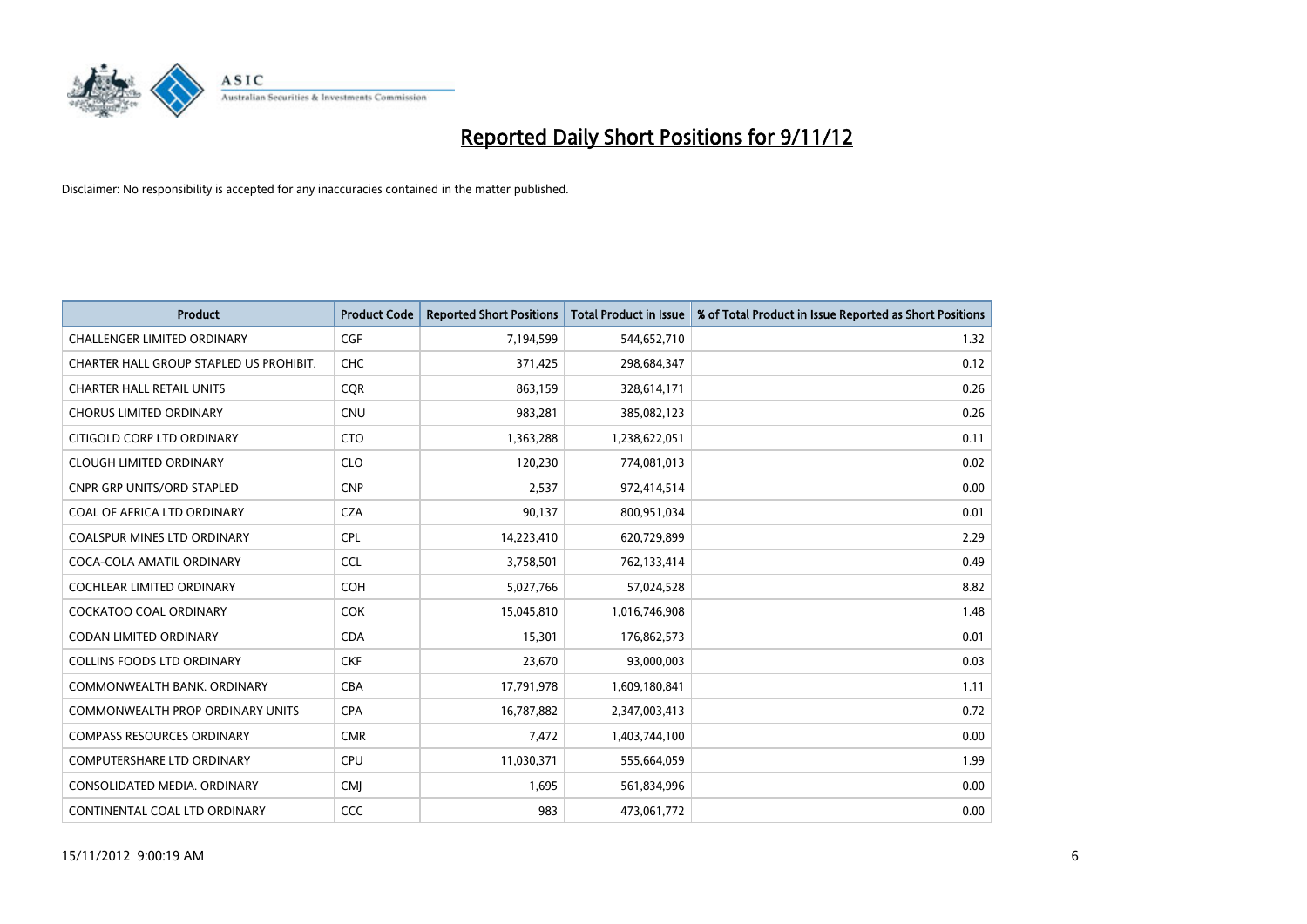

| <b>Product</b>                          | <b>Product Code</b> | <b>Reported Short Positions</b> | <b>Total Product in Issue</b> | % of Total Product in Issue Reported as Short Positions |
|-----------------------------------------|---------------------|---------------------------------|-------------------------------|---------------------------------------------------------|
| <b>CHALLENGER LIMITED ORDINARY</b>      | <b>CGF</b>          | 7,194,599                       | 544,652,710                   | 1.32                                                    |
| CHARTER HALL GROUP STAPLED US PROHIBIT. | <b>CHC</b>          | 371,425                         | 298,684,347                   | 0.12                                                    |
| <b>CHARTER HALL RETAIL UNITS</b>        | <b>COR</b>          | 863,159                         | 328,614,171                   | 0.26                                                    |
| <b>CHORUS LIMITED ORDINARY</b>          | <b>CNU</b>          | 983,281                         | 385,082,123                   | 0.26                                                    |
| CITIGOLD CORP LTD ORDINARY              | <b>CTO</b>          | 1,363,288                       | 1,238,622,051                 | 0.11                                                    |
| <b>CLOUGH LIMITED ORDINARY</b>          | <b>CLO</b>          | 120,230                         | 774,081,013                   | 0.02                                                    |
| <b>CNPR GRP UNITS/ORD STAPLED</b>       | <b>CNP</b>          | 2,537                           | 972,414,514                   | 0.00                                                    |
| COAL OF AFRICA LTD ORDINARY             | <b>CZA</b>          | 90,137                          | 800,951,034                   | 0.01                                                    |
| <b>COALSPUR MINES LTD ORDINARY</b>      | <b>CPL</b>          | 14,223,410                      | 620,729,899                   | 2.29                                                    |
| COCA-COLA AMATIL ORDINARY               | <b>CCL</b>          | 3,758,501                       | 762,133,414                   | 0.49                                                    |
| COCHLEAR LIMITED ORDINARY               | <b>COH</b>          | 5,027,766                       | 57,024,528                    | 8.82                                                    |
| <b>COCKATOO COAL ORDINARY</b>           | <b>COK</b>          | 15,045,810                      | 1,016,746,908                 | 1.48                                                    |
| CODAN LIMITED ORDINARY                  | <b>CDA</b>          | 15,301                          | 176,862,573                   | 0.01                                                    |
| <b>COLLINS FOODS LTD ORDINARY</b>       | <b>CKF</b>          | 23,670                          | 93,000,003                    | 0.03                                                    |
| COMMONWEALTH BANK, ORDINARY             | <b>CBA</b>          | 17,791,978                      | 1,609,180,841                 | 1.11                                                    |
| <b>COMMONWEALTH PROP ORDINARY UNITS</b> | <b>CPA</b>          | 16,787,882                      | 2,347,003,413                 | 0.72                                                    |
| <b>COMPASS RESOURCES ORDINARY</b>       | <b>CMR</b>          | 7,472                           | 1,403,744,100                 | 0.00                                                    |
| COMPUTERSHARE LTD ORDINARY              | <b>CPU</b>          | 11,030,371                      | 555,664,059                   | 1.99                                                    |
| CONSOLIDATED MEDIA, ORDINARY            | <b>CMI</b>          | 1,695                           | 561,834,996                   | 0.00                                                    |
| CONTINENTAL COAL LTD ORDINARY           | CCC                 | 983                             | 473,061,772                   | 0.00                                                    |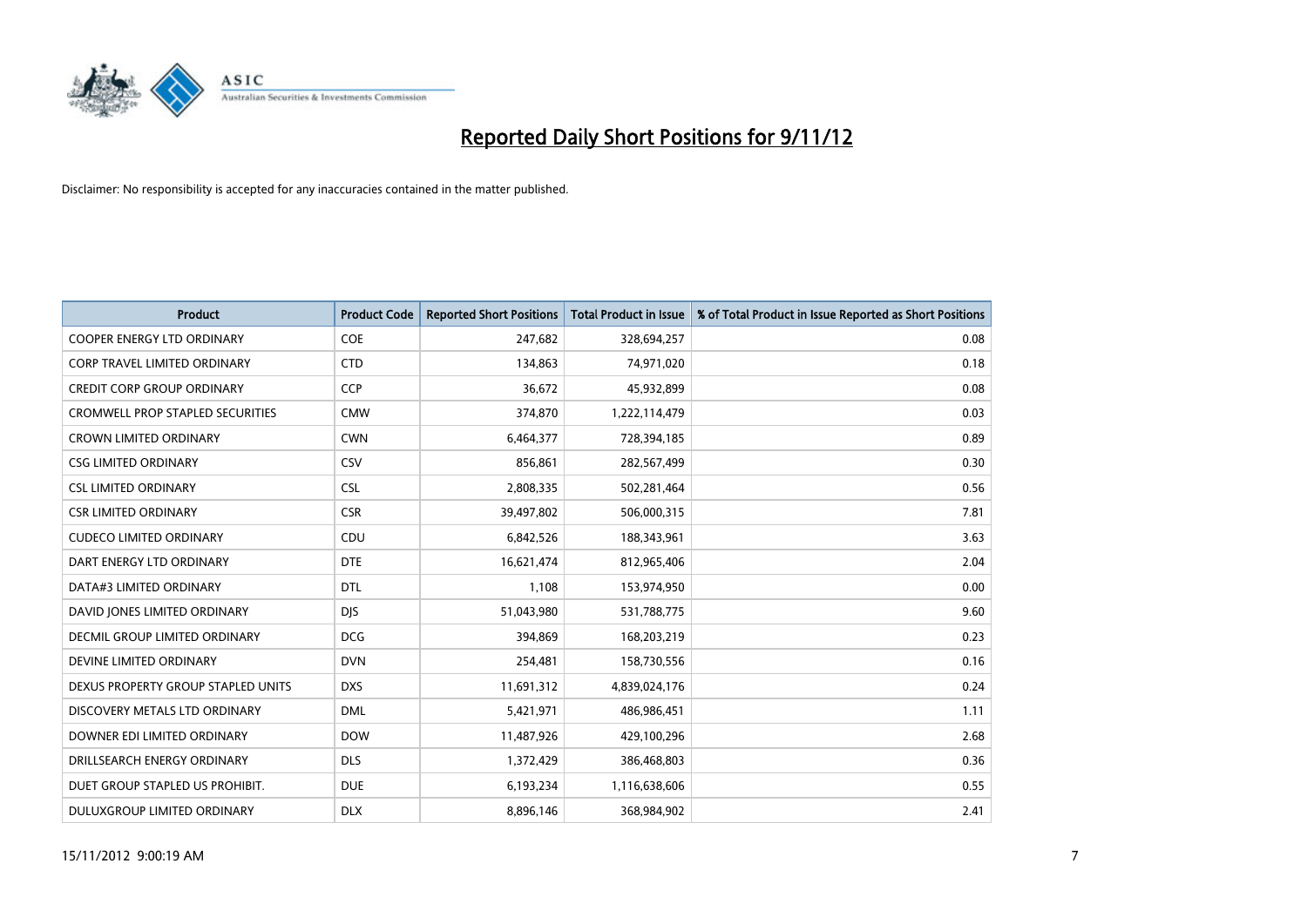

| <b>Product</b>                          | <b>Product Code</b> | <b>Reported Short Positions</b> | <b>Total Product in Issue</b> | % of Total Product in Issue Reported as Short Positions |
|-----------------------------------------|---------------------|---------------------------------|-------------------------------|---------------------------------------------------------|
| <b>COOPER ENERGY LTD ORDINARY</b>       | COE                 | 247,682                         | 328,694,257                   | 0.08                                                    |
| CORP TRAVEL LIMITED ORDINARY            | <b>CTD</b>          | 134,863                         | 74,971,020                    | 0.18                                                    |
| <b>CREDIT CORP GROUP ORDINARY</b>       | <b>CCP</b>          | 36,672                          | 45,932,899                    | 0.08                                                    |
| <b>CROMWELL PROP STAPLED SECURITIES</b> | <b>CMW</b>          | 374,870                         | 1,222,114,479                 | 0.03                                                    |
| <b>CROWN LIMITED ORDINARY</b>           | <b>CWN</b>          | 6,464,377                       | 728,394,185                   | 0.89                                                    |
| <b>CSG LIMITED ORDINARY</b>             | CSV                 | 856,861                         | 282,567,499                   | 0.30                                                    |
| <b>CSL LIMITED ORDINARY</b>             | <b>CSL</b>          | 2,808,335                       | 502,281,464                   | 0.56                                                    |
| <b>CSR LIMITED ORDINARY</b>             | <b>CSR</b>          | 39,497,802                      | 506,000,315                   | 7.81                                                    |
| <b>CUDECO LIMITED ORDINARY</b>          | CDU                 | 6,842,526                       | 188,343,961                   | 3.63                                                    |
| DART ENERGY LTD ORDINARY                | <b>DTE</b>          | 16,621,474                      | 812,965,406                   | 2.04                                                    |
| DATA#3 LIMITED ORDINARY                 | <b>DTL</b>          | 1,108                           | 153,974,950                   | 0.00                                                    |
| DAVID JONES LIMITED ORDINARY            | <b>DJS</b>          | 51,043,980                      | 531,788,775                   | 9.60                                                    |
| DECMIL GROUP LIMITED ORDINARY           | <b>DCG</b>          | 394,869                         | 168,203,219                   | 0.23                                                    |
| DEVINE LIMITED ORDINARY                 | <b>DVN</b>          | 254,481                         | 158,730,556                   | 0.16                                                    |
| DEXUS PROPERTY GROUP STAPLED UNITS      | <b>DXS</b>          | 11,691,312                      | 4,839,024,176                 | 0.24                                                    |
| DISCOVERY METALS LTD ORDINARY           | <b>DML</b>          | 5,421,971                       | 486,986,451                   | 1.11                                                    |
| DOWNER EDI LIMITED ORDINARY             | <b>DOW</b>          | 11,487,926                      | 429,100,296                   | 2.68                                                    |
| DRILLSEARCH ENERGY ORDINARY             | <b>DLS</b>          | 1,372,429                       | 386,468,803                   | 0.36                                                    |
| DUET GROUP STAPLED US PROHIBIT.         | <b>DUE</b>          | 6,193,234                       | 1,116,638,606                 | 0.55                                                    |
| DULUXGROUP LIMITED ORDINARY             | <b>DLX</b>          | 8,896,146                       | 368,984,902                   | 2.41                                                    |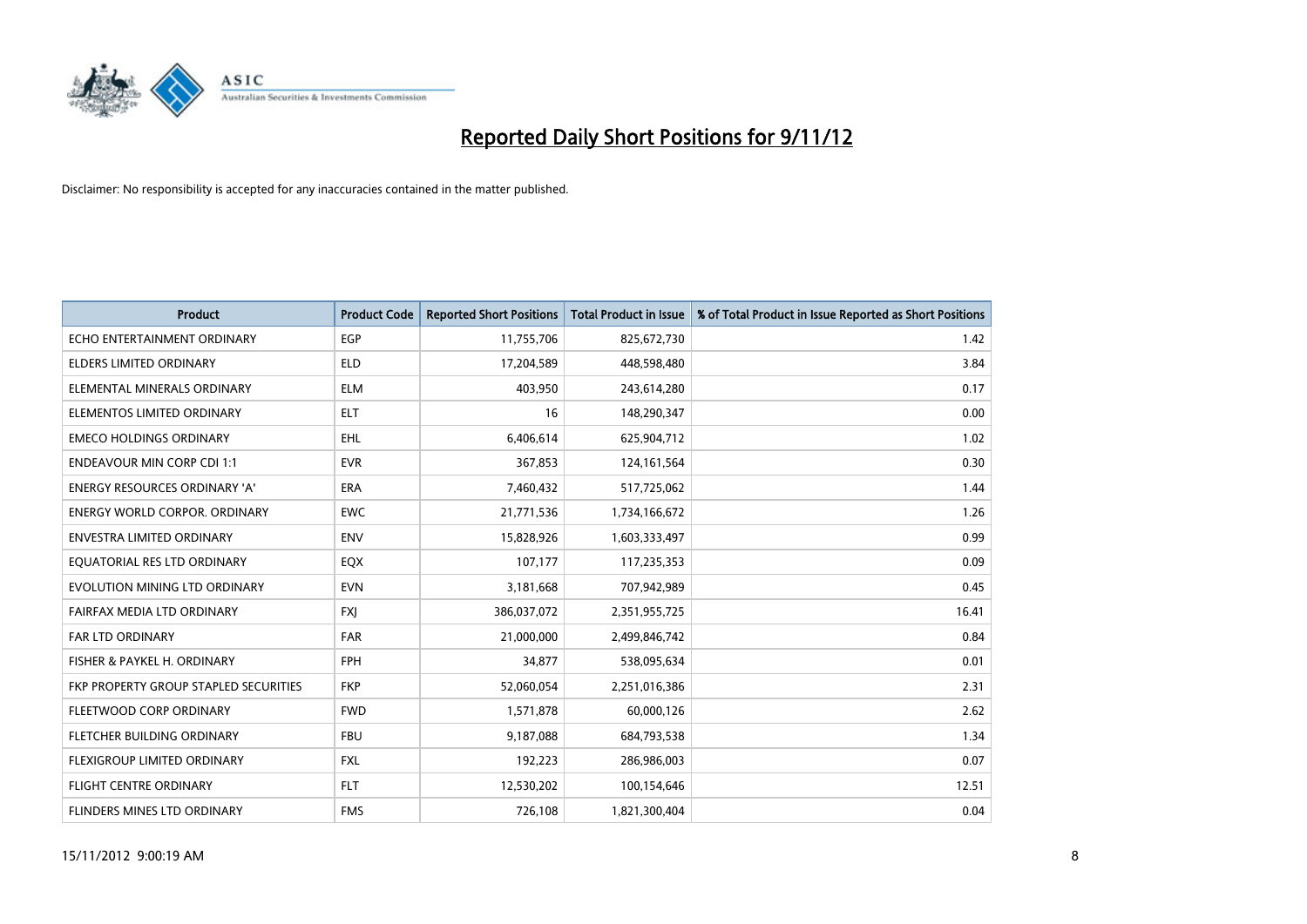

| <b>Product</b>                        | <b>Product Code</b> | <b>Reported Short Positions</b> | <b>Total Product in Issue</b> | % of Total Product in Issue Reported as Short Positions |
|---------------------------------------|---------------------|---------------------------------|-------------------------------|---------------------------------------------------------|
| ECHO ENTERTAINMENT ORDINARY           | <b>EGP</b>          | 11,755,706                      | 825,672,730                   | 1.42                                                    |
| ELDERS LIMITED ORDINARY               | <b>ELD</b>          | 17,204,589                      | 448,598,480                   | 3.84                                                    |
| ELEMENTAL MINERALS ORDINARY           | <b>ELM</b>          | 403,950                         | 243,614,280                   | 0.17                                                    |
| ELEMENTOS LIMITED ORDINARY            | <b>ELT</b>          | 16                              | 148,290,347                   | 0.00                                                    |
| <b>EMECO HOLDINGS ORDINARY</b>        | <b>EHL</b>          | 6,406,614                       | 625,904,712                   | 1.02                                                    |
| <b>ENDEAVOUR MIN CORP CDI 1:1</b>     | <b>EVR</b>          | 367,853                         | 124, 161, 564                 | 0.30                                                    |
| <b>ENERGY RESOURCES ORDINARY 'A'</b>  | <b>ERA</b>          | 7,460,432                       | 517,725,062                   | 1.44                                                    |
| ENERGY WORLD CORPOR. ORDINARY         | <b>EWC</b>          | 21,771,536                      | 1,734,166,672                 | 1.26                                                    |
| ENVESTRA LIMITED ORDINARY             | <b>ENV</b>          | 15,828,926                      | 1,603,333,497                 | 0.99                                                    |
| EOUATORIAL RES LTD ORDINARY           | EQX                 | 107,177                         | 117,235,353                   | 0.09                                                    |
| EVOLUTION MINING LTD ORDINARY         | <b>EVN</b>          | 3,181,668                       | 707,942,989                   | 0.45                                                    |
| FAIRFAX MEDIA LTD ORDINARY            | <b>FXI</b>          | 386,037,072                     | 2,351,955,725                 | 16.41                                                   |
| <b>FAR LTD ORDINARY</b>               | FAR                 | 21,000,000                      | 2,499,846,742                 | 0.84                                                    |
| FISHER & PAYKEL H. ORDINARY           | <b>FPH</b>          | 34,877                          | 538,095,634                   | 0.01                                                    |
| FKP PROPERTY GROUP STAPLED SECURITIES | <b>FKP</b>          | 52,060,054                      | 2,251,016,386                 | 2.31                                                    |
| FLEETWOOD CORP ORDINARY               | <b>FWD</b>          | 1,571,878                       | 60,000,126                    | 2.62                                                    |
| FLETCHER BUILDING ORDINARY            | <b>FBU</b>          | 9,187,088                       | 684,793,538                   | 1.34                                                    |
| FLEXIGROUP LIMITED ORDINARY           | <b>FXL</b>          | 192,223                         | 286,986,003                   | 0.07                                                    |
| FLIGHT CENTRE ORDINARY                | <b>FLT</b>          | 12,530,202                      | 100,154,646                   | 12.51                                                   |
| FLINDERS MINES LTD ORDINARY           | <b>FMS</b>          | 726,108                         | 1,821,300,404                 | 0.04                                                    |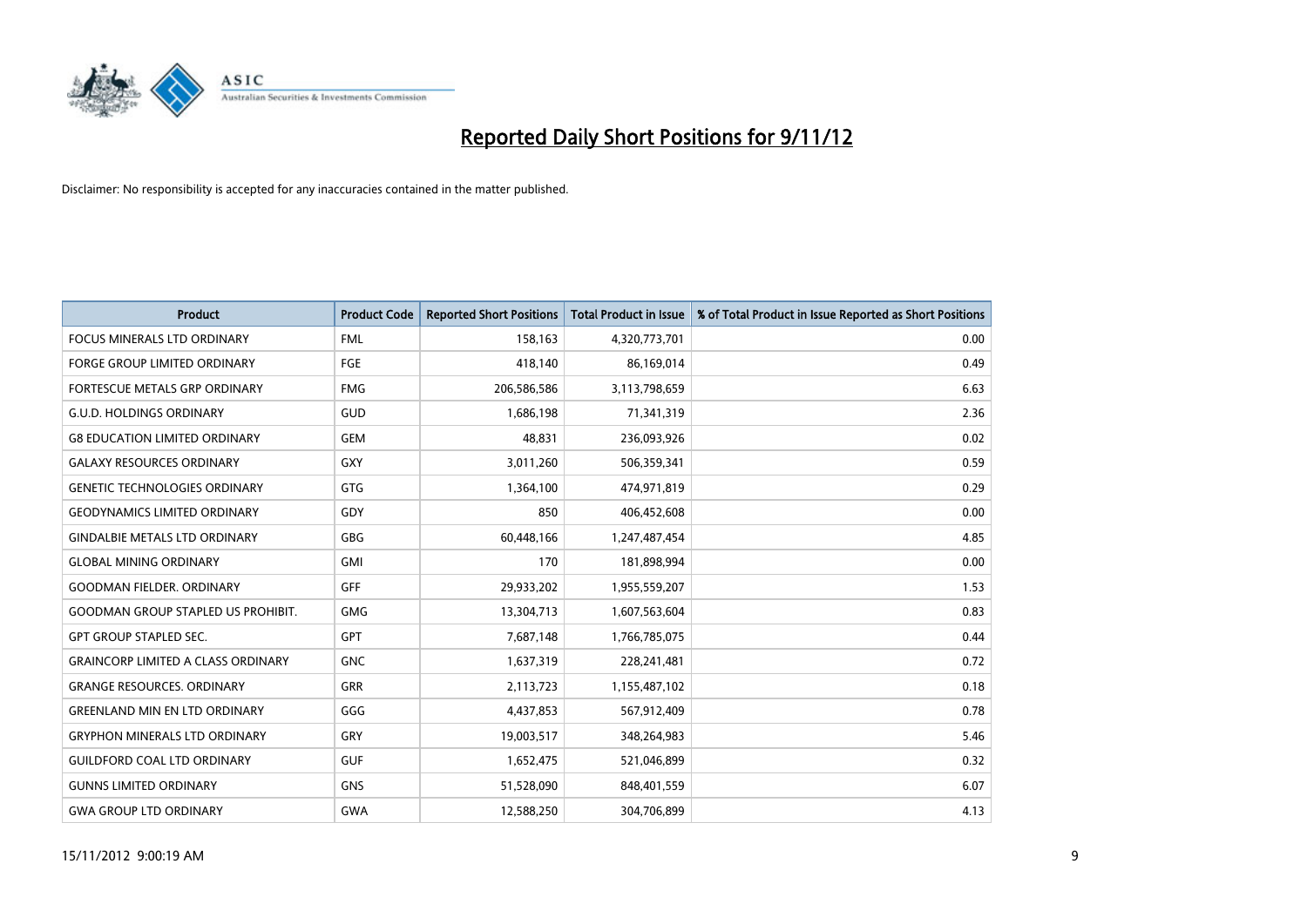

| <b>Product</b>                            | <b>Product Code</b> | <b>Reported Short Positions</b> | <b>Total Product in Issue</b> | % of Total Product in Issue Reported as Short Positions |
|-------------------------------------------|---------------------|---------------------------------|-------------------------------|---------------------------------------------------------|
| <b>FOCUS MINERALS LTD ORDINARY</b>        | <b>FML</b>          | 158,163                         | 4,320,773,701                 | 0.00                                                    |
| <b>FORGE GROUP LIMITED ORDINARY</b>       | FGE                 | 418,140                         | 86,169,014                    | 0.49                                                    |
| <b>FORTESCUE METALS GRP ORDINARY</b>      | <b>FMG</b>          | 206,586,586                     | 3,113,798,659                 | 6.63                                                    |
| <b>G.U.D. HOLDINGS ORDINARY</b>           | GUD                 | 1,686,198                       | 71,341,319                    | 2.36                                                    |
| <b>G8 EDUCATION LIMITED ORDINARY</b>      | GEM                 | 48,831                          | 236,093,926                   | 0.02                                                    |
| <b>GALAXY RESOURCES ORDINARY</b>          | GXY                 | 3,011,260                       | 506,359,341                   | 0.59                                                    |
| <b>GENETIC TECHNOLOGIES ORDINARY</b>      | GTG                 | 1,364,100                       | 474,971,819                   | 0.29                                                    |
| <b>GEODYNAMICS LIMITED ORDINARY</b>       | GDY                 | 850                             | 406,452,608                   | 0.00                                                    |
| <b>GINDALBIE METALS LTD ORDINARY</b>      | <b>GBG</b>          | 60,448,166                      | 1,247,487,454                 | 4.85                                                    |
| <b>GLOBAL MINING ORDINARY</b>             | <b>GMI</b>          | 170                             | 181,898,994                   | 0.00                                                    |
| <b>GOODMAN FIELDER, ORDINARY</b>          | <b>GFF</b>          | 29,933,202                      | 1,955,559,207                 | 1.53                                                    |
| <b>GOODMAN GROUP STAPLED US PROHIBIT.</b> | <b>GMG</b>          | 13,304,713                      | 1,607,563,604                 | 0.83                                                    |
| <b>GPT GROUP STAPLED SEC.</b>             | GPT                 | 7,687,148                       | 1,766,785,075                 | 0.44                                                    |
| <b>GRAINCORP LIMITED A CLASS ORDINARY</b> | <b>GNC</b>          | 1,637,319                       | 228,241,481                   | 0.72                                                    |
| <b>GRANGE RESOURCES, ORDINARY</b>         | <b>GRR</b>          | 2,113,723                       | 1,155,487,102                 | 0.18                                                    |
| <b>GREENLAND MIN EN LTD ORDINARY</b>      | GGG                 | 4,437,853                       | 567,912,409                   | 0.78                                                    |
| <b>GRYPHON MINERALS LTD ORDINARY</b>      | GRY                 | 19,003,517                      | 348,264,983                   | 5.46                                                    |
| <b>GUILDFORD COAL LTD ORDINARY</b>        | <b>GUF</b>          | 1,652,475                       | 521,046,899                   | 0.32                                                    |
| <b>GUNNS LIMITED ORDINARY</b>             | GNS                 | 51,528,090                      | 848,401,559                   | 6.07                                                    |
| <b>GWA GROUP LTD ORDINARY</b>             | <b>GWA</b>          | 12,588,250                      | 304,706,899                   | 4.13                                                    |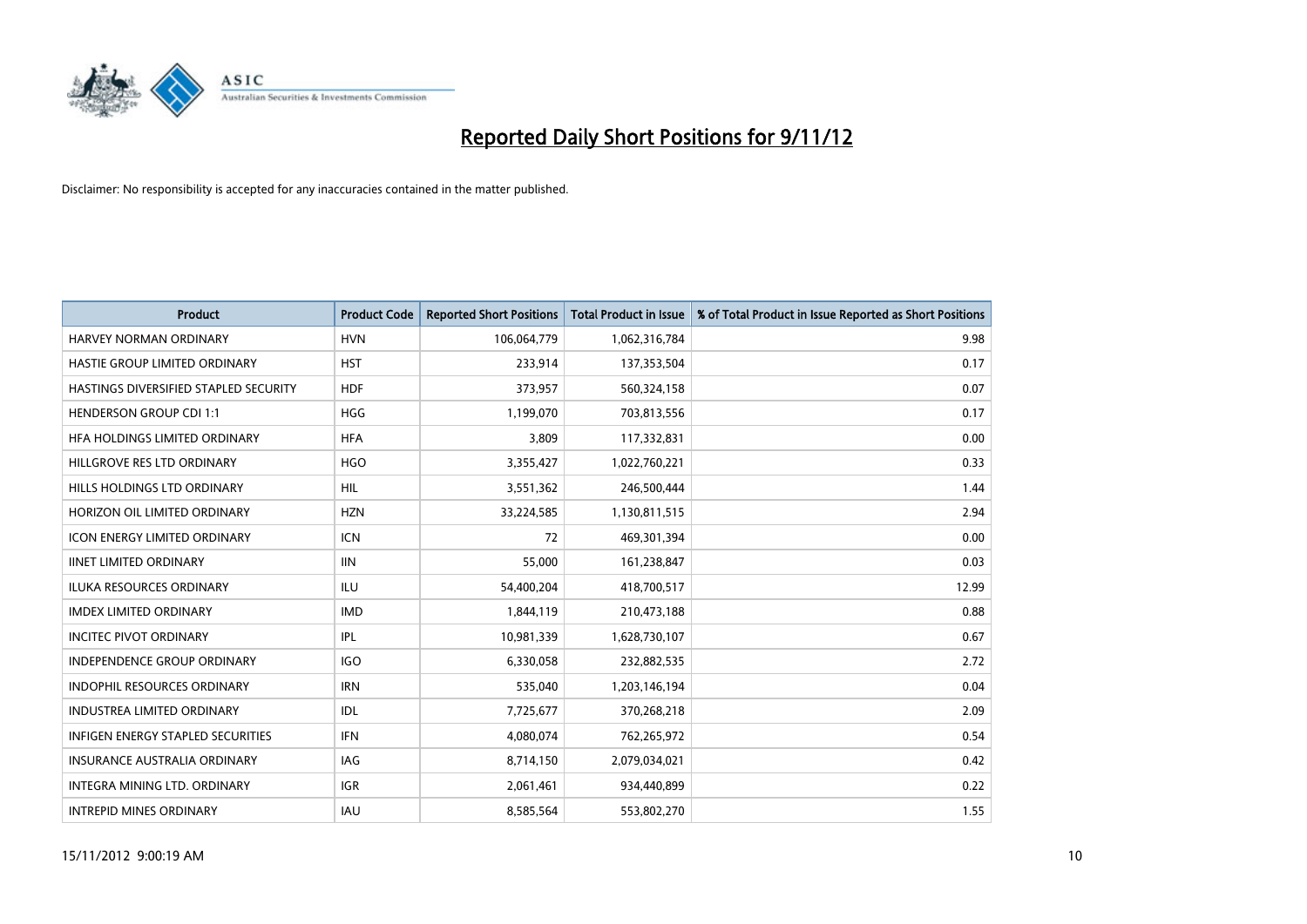

| <b>Product</b>                           | <b>Product Code</b> | <b>Reported Short Positions</b> | <b>Total Product in Issue</b> | % of Total Product in Issue Reported as Short Positions |
|------------------------------------------|---------------------|---------------------------------|-------------------------------|---------------------------------------------------------|
| <b>HARVEY NORMAN ORDINARY</b>            | <b>HVN</b>          | 106,064,779                     | 1,062,316,784                 | 9.98                                                    |
| HASTIE GROUP LIMITED ORDINARY            | <b>HST</b>          | 233,914                         | 137,353,504                   | 0.17                                                    |
| HASTINGS DIVERSIFIED STAPLED SECURITY    | <b>HDF</b>          | 373,957                         | 560,324,158                   | 0.07                                                    |
| <b>HENDERSON GROUP CDI 1:1</b>           | <b>HGG</b>          | 1,199,070                       | 703,813,556                   | 0.17                                                    |
| HFA HOLDINGS LIMITED ORDINARY            | <b>HFA</b>          | 3,809                           | 117,332,831                   | 0.00                                                    |
| HILLGROVE RES LTD ORDINARY               | <b>HGO</b>          | 3,355,427                       | 1,022,760,221                 | 0.33                                                    |
| HILLS HOLDINGS LTD ORDINARY              | HIL.                | 3,551,362                       | 246,500,444                   | 1.44                                                    |
| HORIZON OIL LIMITED ORDINARY             | <b>HZN</b>          | 33,224,585                      | 1,130,811,515                 | 2.94                                                    |
| ICON ENERGY LIMITED ORDINARY             | <b>ICN</b>          | 72                              | 469,301,394                   | 0.00                                                    |
| <b>IINET LIMITED ORDINARY</b>            | <b>IIN</b>          | 55,000                          | 161,238,847                   | 0.03                                                    |
| ILUKA RESOURCES ORDINARY                 | ILU                 | 54,400,204                      | 418,700,517                   | 12.99                                                   |
| <b>IMDEX LIMITED ORDINARY</b>            | <b>IMD</b>          | 1,844,119                       | 210,473,188                   | 0.88                                                    |
| <b>INCITEC PIVOT ORDINARY</b>            | IPL                 | 10,981,339                      | 1,628,730,107                 | 0.67                                                    |
| <b>INDEPENDENCE GROUP ORDINARY</b>       | <b>IGO</b>          | 6,330,058                       | 232,882,535                   | 2.72                                                    |
| INDOPHIL RESOURCES ORDINARY              | <b>IRN</b>          | 535,040                         | 1,203,146,194                 | 0.04                                                    |
| <b>INDUSTREA LIMITED ORDINARY</b>        | IDL                 | 7,725,677                       | 370,268,218                   | 2.09                                                    |
| <b>INFIGEN ENERGY STAPLED SECURITIES</b> | <b>IFN</b>          | 4,080,074                       | 762,265,972                   | 0.54                                                    |
| INSURANCE AUSTRALIA ORDINARY             | IAG                 | 8,714,150                       | 2,079,034,021                 | 0.42                                                    |
| <b>INTEGRA MINING LTD, ORDINARY</b>      | <b>IGR</b>          | 2,061,461                       | 934,440,899                   | 0.22                                                    |
| <b>INTREPID MINES ORDINARY</b>           | <b>IAU</b>          | 8,585,564                       | 553,802,270                   | 1.55                                                    |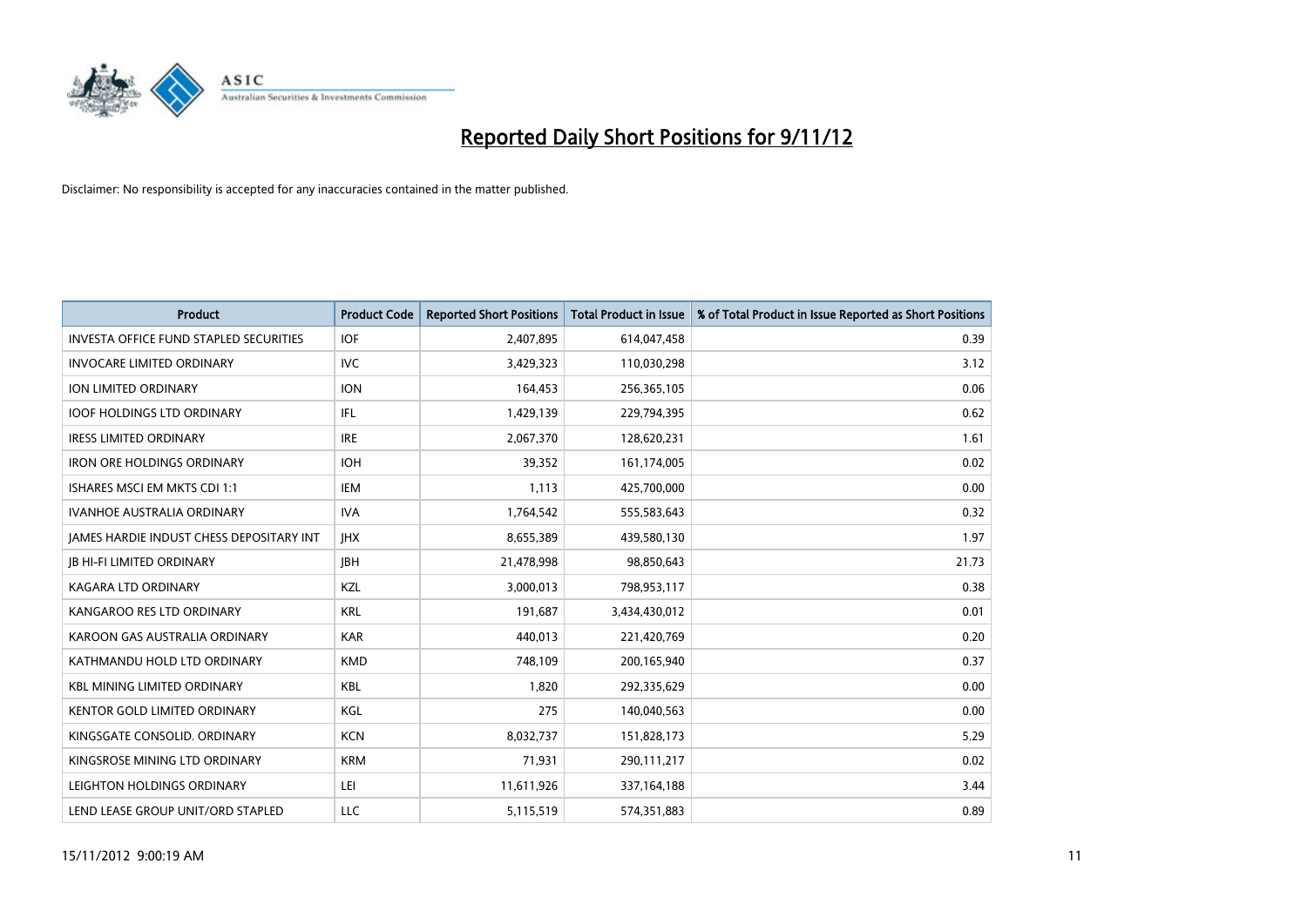

| <b>Product</b>                                  | <b>Product Code</b> | <b>Reported Short Positions</b> | <b>Total Product in Issue</b> | % of Total Product in Issue Reported as Short Positions |
|-------------------------------------------------|---------------------|---------------------------------|-------------------------------|---------------------------------------------------------|
| <b>INVESTA OFFICE FUND STAPLED SECURITIES</b>   | <b>IOF</b>          | 2,407,895                       | 614,047,458                   | 0.39                                                    |
| <b>INVOCARE LIMITED ORDINARY</b>                | IVC                 | 3,429,323                       | 110,030,298                   | 3.12                                                    |
| <b>ION LIMITED ORDINARY</b>                     | <b>ION</b>          | 164,453                         | 256,365,105                   | 0.06                                                    |
| <b>IOOF HOLDINGS LTD ORDINARY</b>               | IFL.                | 1,429,139                       | 229,794,395                   | 0.62                                                    |
| <b>IRESS LIMITED ORDINARY</b>                   | <b>IRE</b>          | 2,067,370                       | 128,620,231                   | 1.61                                                    |
| <b>IRON ORE HOLDINGS ORDINARY</b>               | <b>IOH</b>          | 39,352                          | 161,174,005                   | 0.02                                                    |
| ISHARES MSCI EM MKTS CDI 1:1                    | IEM                 | 1.113                           | 425,700,000                   | 0.00                                                    |
| <b>IVANHOE AUSTRALIA ORDINARY</b>               | <b>IVA</b>          | 1,764,542                       | 555,583,643                   | 0.32                                                    |
| <b>JAMES HARDIE INDUST CHESS DEPOSITARY INT</b> | <b>IHX</b>          | 8,655,389                       | 439,580,130                   | 1.97                                                    |
| <b>IB HI-FI LIMITED ORDINARY</b>                | <b>IBH</b>          | 21,478,998                      | 98,850,643                    | 21.73                                                   |
| KAGARA LTD ORDINARY                             | <b>KZL</b>          | 3,000,013                       | 798,953,117                   | 0.38                                                    |
| KANGAROO RES LTD ORDINARY                       | <b>KRL</b>          | 191,687                         | 3,434,430,012                 | 0.01                                                    |
| KAROON GAS AUSTRALIA ORDINARY                   | <b>KAR</b>          | 440,013                         | 221,420,769                   | 0.20                                                    |
| KATHMANDU HOLD LTD ORDINARY                     | <b>KMD</b>          | 748,109                         | 200,165,940                   | 0.37                                                    |
| <b>KBL MINING LIMITED ORDINARY</b>              | <b>KBL</b>          | 1,820                           | 292,335,629                   | 0.00                                                    |
| KENTOR GOLD LIMITED ORDINARY                    | KGL                 | 275                             | 140,040,563                   | 0.00                                                    |
| KINGSGATE CONSOLID. ORDINARY                    | <b>KCN</b>          | 8,032,737                       | 151,828,173                   | 5.29                                                    |
| KINGSROSE MINING LTD ORDINARY                   | <b>KRM</b>          | 71,931                          | 290,111,217                   | 0.02                                                    |
| LEIGHTON HOLDINGS ORDINARY                      | LEI                 | 11,611,926                      | 337,164,188                   | 3.44                                                    |
| LEND LEASE GROUP UNIT/ORD STAPLED               | LLC                 | 5,115,519                       | 574,351,883                   | 0.89                                                    |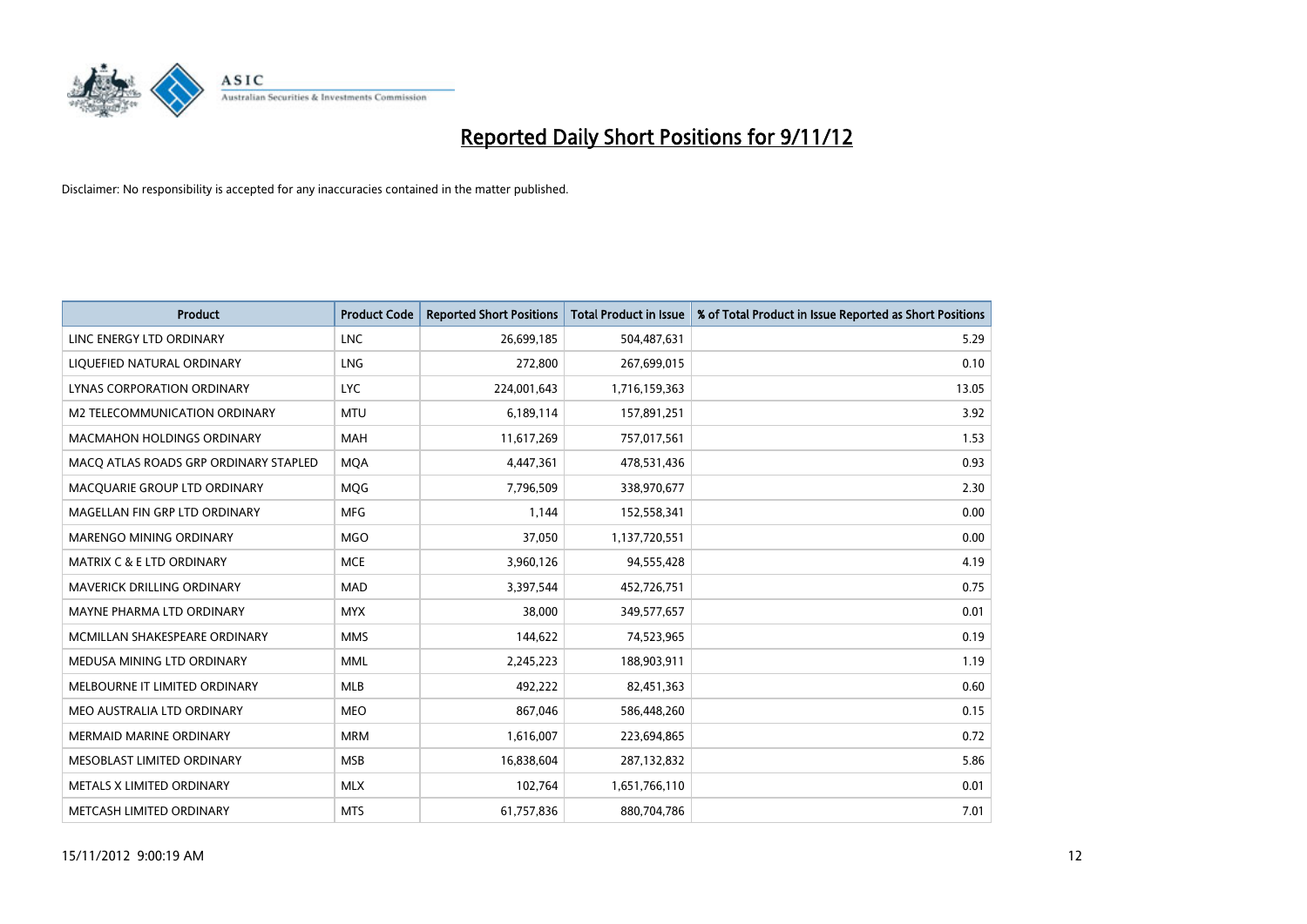

| <b>Product</b>                        | <b>Product Code</b> | <b>Reported Short Positions</b> | <b>Total Product in Issue</b> | % of Total Product in Issue Reported as Short Positions |
|---------------------------------------|---------------------|---------------------------------|-------------------------------|---------------------------------------------------------|
| LINC ENERGY LTD ORDINARY              | <b>LNC</b>          | 26,699,185                      | 504,487,631                   | 5.29                                                    |
| LIQUEFIED NATURAL ORDINARY            | LNG                 | 272,800                         | 267,699,015                   | 0.10                                                    |
| LYNAS CORPORATION ORDINARY            | <b>LYC</b>          | 224,001,643                     | 1,716,159,363                 | 13.05                                                   |
| M2 TELECOMMUNICATION ORDINARY         | <b>MTU</b>          | 6,189,114                       | 157,891,251                   | 3.92                                                    |
| <b>MACMAHON HOLDINGS ORDINARY</b>     | <b>MAH</b>          | 11,617,269                      | 757,017,561                   | 1.53                                                    |
| MACQ ATLAS ROADS GRP ORDINARY STAPLED | <b>MOA</b>          | 4,447,361                       | 478,531,436                   | 0.93                                                    |
| MACQUARIE GROUP LTD ORDINARY          | <b>MOG</b>          | 7,796,509                       | 338,970,677                   | 2.30                                                    |
| MAGELLAN FIN GRP LTD ORDINARY         | <b>MFG</b>          | 1,144                           | 152,558,341                   | 0.00                                                    |
| <b>MARENGO MINING ORDINARY</b>        | <b>MGO</b>          | 37,050                          | 1,137,720,551                 | 0.00                                                    |
| <b>MATRIX C &amp; E LTD ORDINARY</b>  | <b>MCE</b>          | 3,960,126                       | 94,555,428                    | 4.19                                                    |
| MAVERICK DRILLING ORDINARY            | <b>MAD</b>          | 3,397,544                       | 452,726,751                   | 0.75                                                    |
| <b>MAYNE PHARMA LTD ORDINARY</b>      | <b>MYX</b>          | 38,000                          | 349,577,657                   | 0.01                                                    |
| MCMILLAN SHAKESPEARE ORDINARY         | <b>MMS</b>          | 144,622                         | 74,523,965                    | 0.19                                                    |
| MEDUSA MINING LTD ORDINARY            | <b>MML</b>          | 2,245,223                       | 188,903,911                   | 1.19                                                    |
| MELBOURNE IT LIMITED ORDINARY         | <b>MLB</b>          | 492,222                         | 82,451,363                    | 0.60                                                    |
| MEO AUSTRALIA LTD ORDINARY            | <b>MEO</b>          | 867,046                         | 586,448,260                   | 0.15                                                    |
| MERMAID MARINE ORDINARY               | <b>MRM</b>          | 1,616,007                       | 223,694,865                   | 0.72                                                    |
| MESOBLAST LIMITED ORDINARY            | <b>MSB</b>          | 16,838,604                      | 287,132,832                   | 5.86                                                    |
| METALS X LIMITED ORDINARY             | <b>MLX</b>          | 102,764                         | 1,651,766,110                 | 0.01                                                    |
| METCASH LIMITED ORDINARY              | <b>MTS</b>          | 61,757,836                      | 880,704,786                   | 7.01                                                    |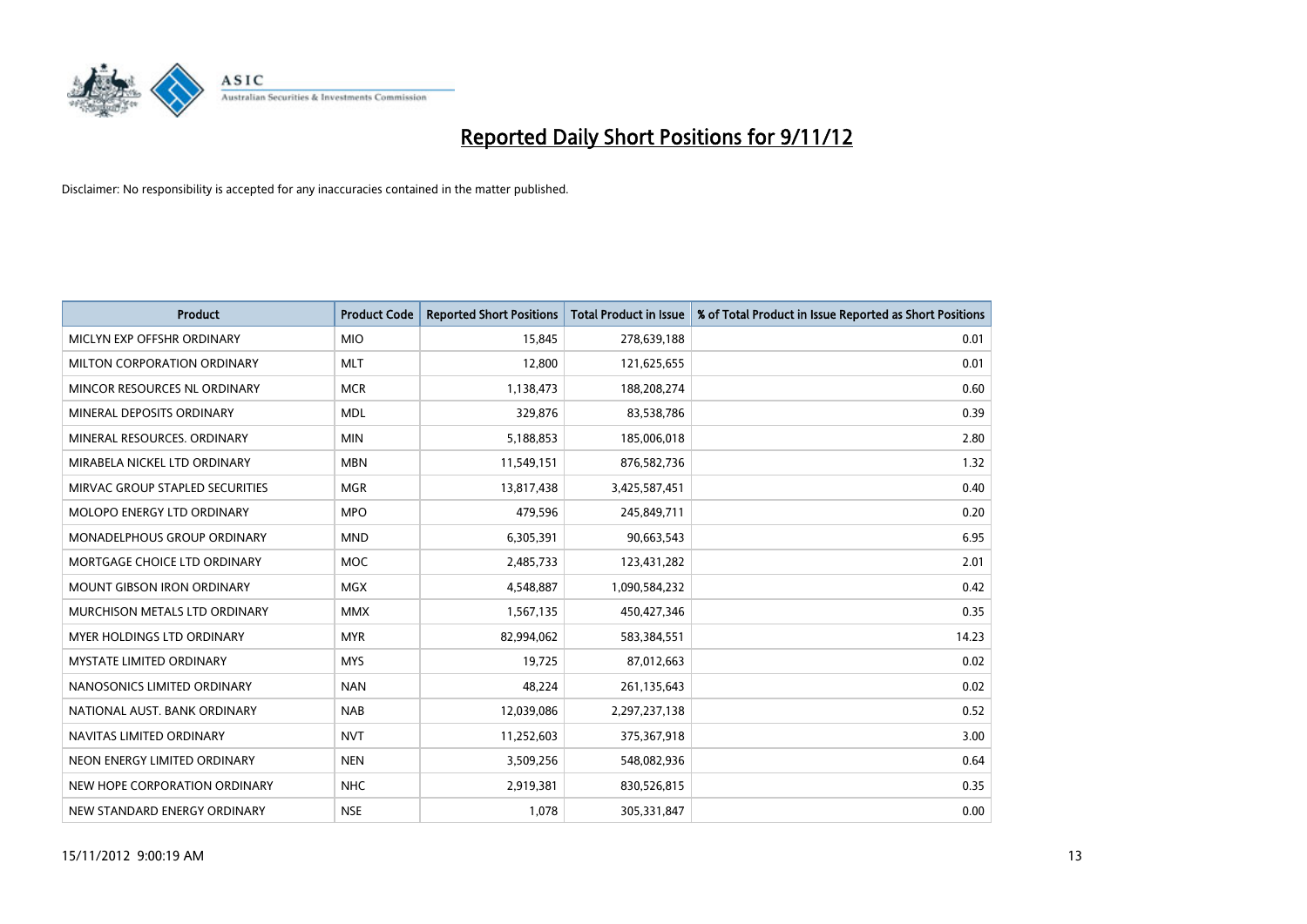

| <b>Product</b>                     | <b>Product Code</b> | <b>Reported Short Positions</b> | <b>Total Product in Issue</b> | % of Total Product in Issue Reported as Short Positions |
|------------------------------------|---------------------|---------------------------------|-------------------------------|---------------------------------------------------------|
| MICLYN EXP OFFSHR ORDINARY         | <b>MIO</b>          | 15.845                          | 278,639,188                   | 0.01                                                    |
| <b>MILTON CORPORATION ORDINARY</b> | <b>MLT</b>          | 12,800                          | 121,625,655                   | 0.01                                                    |
| MINCOR RESOURCES NL ORDINARY       | <b>MCR</b>          | 1,138,473                       | 188,208,274                   | 0.60                                                    |
| MINERAL DEPOSITS ORDINARY          | <b>MDL</b>          | 329,876                         | 83,538,786                    | 0.39                                                    |
| MINERAL RESOURCES, ORDINARY        | <b>MIN</b>          | 5,188,853                       | 185,006,018                   | 2.80                                                    |
| MIRABELA NICKEL LTD ORDINARY       | <b>MBN</b>          | 11,549,151                      | 876,582,736                   | 1.32                                                    |
| MIRVAC GROUP STAPLED SECURITIES    | <b>MGR</b>          | 13,817,438                      | 3,425,587,451                 | 0.40                                                    |
| <b>MOLOPO ENERGY LTD ORDINARY</b>  | <b>MPO</b>          | 479,596                         | 245,849,711                   | 0.20                                                    |
| <b>MONADELPHOUS GROUP ORDINARY</b> | <b>MND</b>          | 6,305,391                       | 90,663,543                    | 6.95                                                    |
| MORTGAGE CHOICE LTD ORDINARY       | <b>MOC</b>          | 2,485,733                       | 123,431,282                   | 2.01                                                    |
| <b>MOUNT GIBSON IRON ORDINARY</b>  | <b>MGX</b>          | 4,548,887                       | 1,090,584,232                 | 0.42                                                    |
| MURCHISON METALS LTD ORDINARY      | <b>MMX</b>          | 1,567,135                       | 450,427,346                   | 0.35                                                    |
| <b>MYER HOLDINGS LTD ORDINARY</b>  | <b>MYR</b>          | 82,994,062                      | 583,384,551                   | 14.23                                                   |
| <b>MYSTATE LIMITED ORDINARY</b>    | <b>MYS</b>          | 19,725                          | 87,012,663                    | 0.02                                                    |
| NANOSONICS LIMITED ORDINARY        | <b>NAN</b>          | 48.224                          | 261,135,643                   | 0.02                                                    |
| NATIONAL AUST, BANK ORDINARY       | <b>NAB</b>          | 12,039,086                      | 2,297,237,138                 | 0.52                                                    |
| NAVITAS LIMITED ORDINARY           | <b>NVT</b>          | 11,252,603                      | 375,367,918                   | 3.00                                                    |
| NEON ENERGY LIMITED ORDINARY       | <b>NEN</b>          | 3,509,256                       | 548,082,936                   | 0.64                                                    |
| NEW HOPE CORPORATION ORDINARY      | <b>NHC</b>          | 2,919,381                       | 830,526,815                   | 0.35                                                    |
| NEW STANDARD ENERGY ORDINARY       | <b>NSE</b>          | 1,078                           | 305,331,847                   | 0.00                                                    |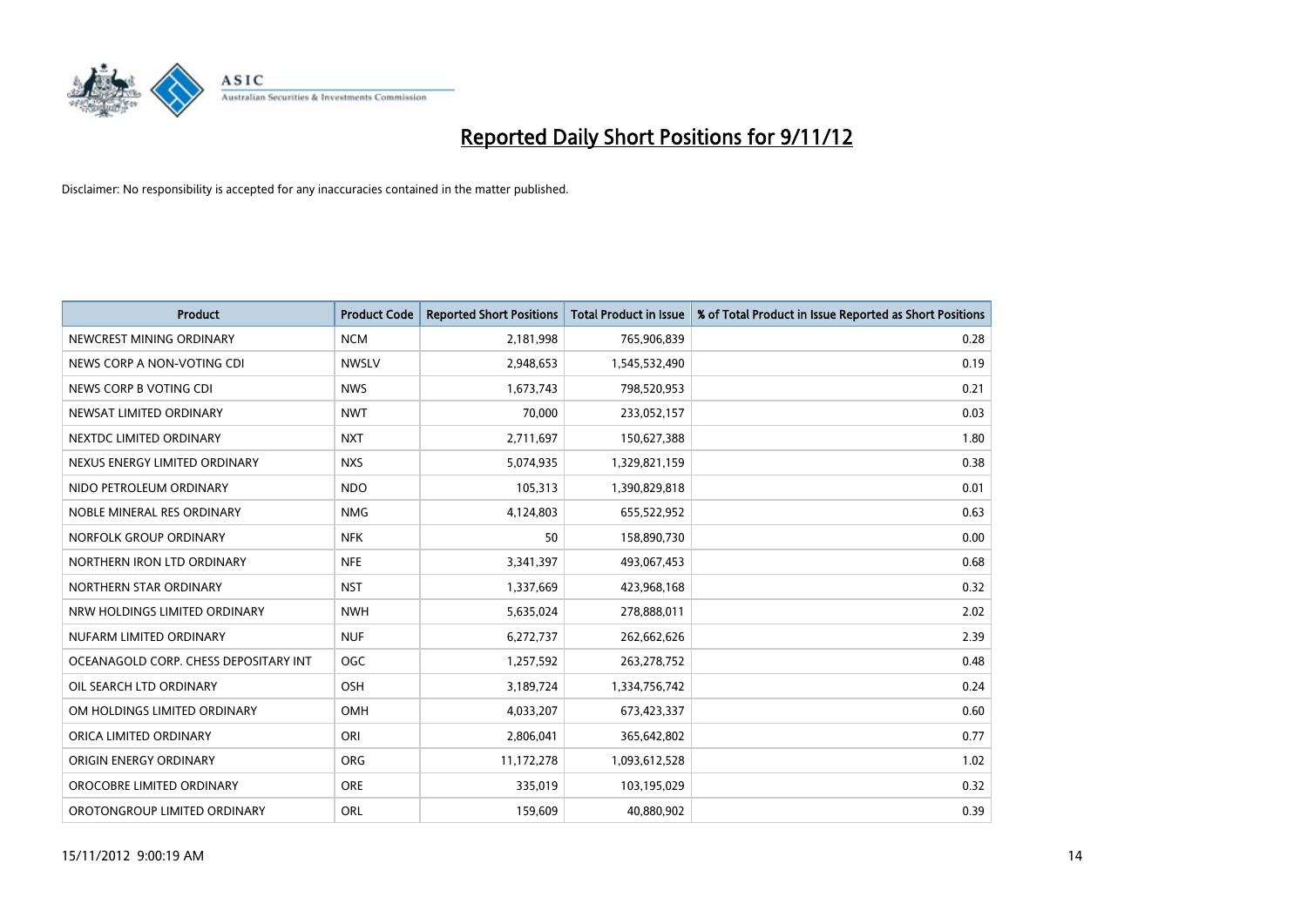

| <b>Product</b>                        | <b>Product Code</b> | <b>Reported Short Positions</b> | <b>Total Product in Issue</b> | % of Total Product in Issue Reported as Short Positions |
|---------------------------------------|---------------------|---------------------------------|-------------------------------|---------------------------------------------------------|
| NEWCREST MINING ORDINARY              | <b>NCM</b>          | 2,181,998                       | 765,906,839                   | 0.28                                                    |
| NEWS CORP A NON-VOTING CDI            | <b>NWSLV</b>        | 2,948,653                       | 1,545,532,490                 | 0.19                                                    |
| NEWS CORP B VOTING CDI                | <b>NWS</b>          | 1,673,743                       | 798,520,953                   | 0.21                                                    |
| NEWSAT LIMITED ORDINARY               | <b>NWT</b>          | 70,000                          | 233,052,157                   | 0.03                                                    |
| NEXTDC LIMITED ORDINARY               | <b>NXT</b>          | 2,711,697                       | 150,627,388                   | 1.80                                                    |
| NEXUS ENERGY LIMITED ORDINARY         | <b>NXS</b>          | 5,074,935                       | 1,329,821,159                 | 0.38                                                    |
| NIDO PETROLEUM ORDINARY               | <b>NDO</b>          | 105,313                         | 1,390,829,818                 | 0.01                                                    |
| NOBLE MINERAL RES ORDINARY            | <b>NMG</b>          | 4,124,803                       | 655,522,952                   | 0.63                                                    |
| NORFOLK GROUP ORDINARY                | <b>NFK</b>          | 50                              | 158,890,730                   | 0.00                                                    |
| NORTHERN IRON LTD ORDINARY            | <b>NFE</b>          | 3,341,397                       | 493,067,453                   | 0.68                                                    |
| NORTHERN STAR ORDINARY                | <b>NST</b>          | 1,337,669                       | 423,968,168                   | 0.32                                                    |
| NRW HOLDINGS LIMITED ORDINARY         | <b>NWH</b>          | 5,635,024                       | 278,888,011                   | 2.02                                                    |
| NUFARM LIMITED ORDINARY               | <b>NUF</b>          | 6,272,737                       | 262,662,626                   | 2.39                                                    |
| OCEANAGOLD CORP. CHESS DEPOSITARY INT | <b>OGC</b>          | 1,257,592                       | 263,278,752                   | 0.48                                                    |
| OIL SEARCH LTD ORDINARY               | OSH                 | 3,189,724                       | 1,334,756,742                 | 0.24                                                    |
| OM HOLDINGS LIMITED ORDINARY          | OMH                 | 4,033,207                       | 673,423,337                   | 0.60                                                    |
| ORICA LIMITED ORDINARY                | ORI                 | 2,806,041                       | 365,642,802                   | 0.77                                                    |
| ORIGIN ENERGY ORDINARY                | <b>ORG</b>          | 11,172,278                      | 1,093,612,528                 | 1.02                                                    |
| OROCOBRE LIMITED ORDINARY             | <b>ORE</b>          | 335,019                         | 103,195,029                   | 0.32                                                    |
| OROTONGROUP LIMITED ORDINARY          | ORL                 | 159,609                         | 40,880,902                    | 0.39                                                    |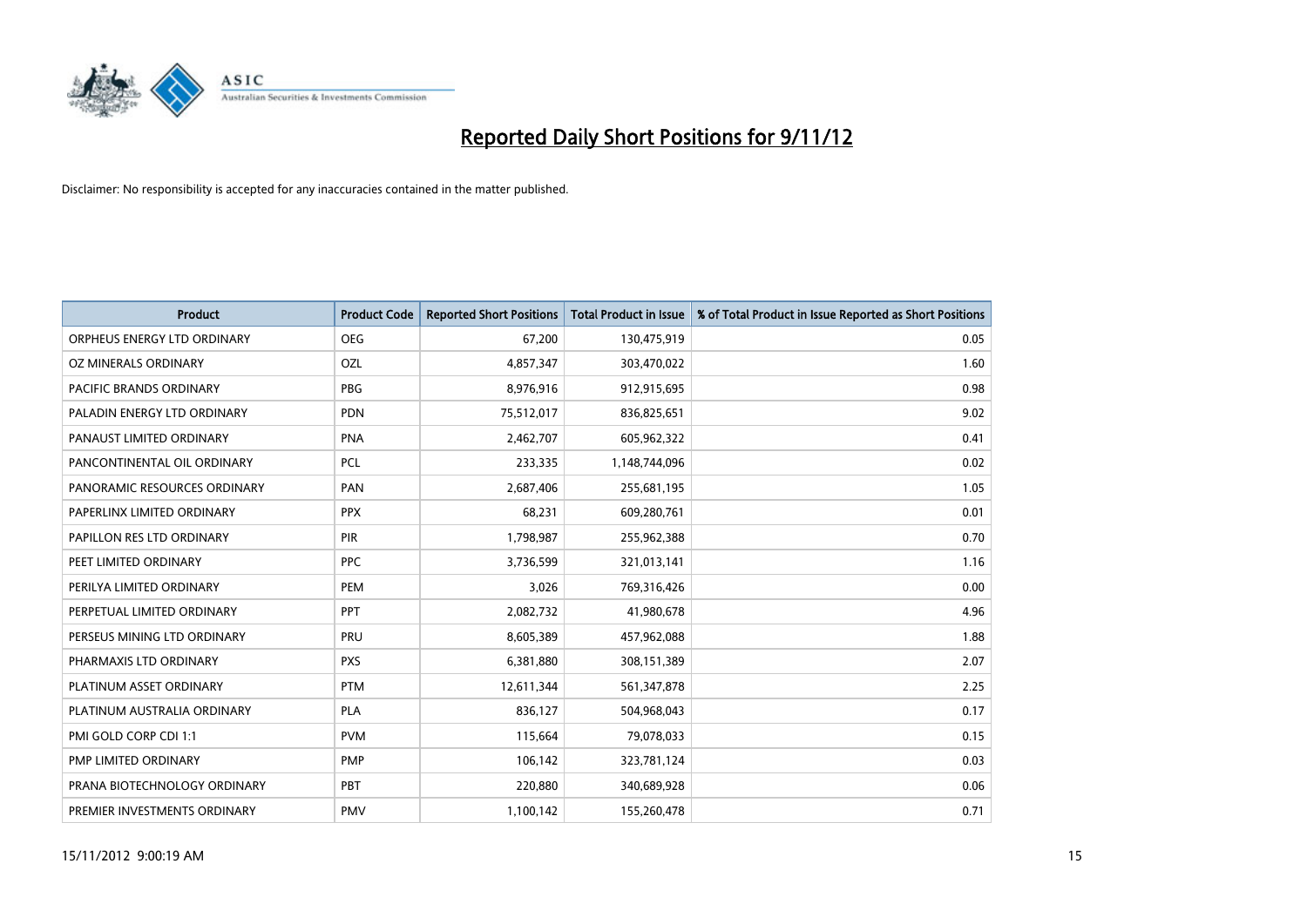

| <b>Product</b>               | <b>Product Code</b> | <b>Reported Short Positions</b> | <b>Total Product in Issue</b> | % of Total Product in Issue Reported as Short Positions |
|------------------------------|---------------------|---------------------------------|-------------------------------|---------------------------------------------------------|
| ORPHEUS ENERGY LTD ORDINARY  | <b>OEG</b>          | 67,200                          | 130,475,919                   | 0.05                                                    |
| OZ MINERALS ORDINARY         | OZL                 | 4,857,347                       | 303,470,022                   | 1.60                                                    |
| PACIFIC BRANDS ORDINARY      | <b>PBG</b>          | 8,976,916                       | 912,915,695                   | 0.98                                                    |
| PALADIN ENERGY LTD ORDINARY  | <b>PDN</b>          | 75,512,017                      | 836,825,651                   | 9.02                                                    |
| PANAUST LIMITED ORDINARY     | <b>PNA</b>          | 2,462,707                       | 605,962,322                   | 0.41                                                    |
| PANCONTINENTAL OIL ORDINARY  | PCL                 | 233,335                         | 1,148,744,096                 | 0.02                                                    |
| PANORAMIC RESOURCES ORDINARY | PAN                 | 2,687,406                       | 255,681,195                   | 1.05                                                    |
| PAPERLINX LIMITED ORDINARY   | <b>PPX</b>          | 68,231                          | 609,280,761                   | 0.01                                                    |
| PAPILLON RES LTD ORDINARY    | <b>PIR</b>          | 1,798,987                       | 255,962,388                   | 0.70                                                    |
| PEET LIMITED ORDINARY        | <b>PPC</b>          | 3,736,599                       | 321,013,141                   | 1.16                                                    |
| PERILYA LIMITED ORDINARY     | PEM                 | 3,026                           | 769,316,426                   | 0.00                                                    |
| PERPETUAL LIMITED ORDINARY   | PPT                 | 2,082,732                       | 41,980,678                    | 4.96                                                    |
| PERSEUS MINING LTD ORDINARY  | PRU                 | 8,605,389                       | 457,962,088                   | 1.88                                                    |
| PHARMAXIS LTD ORDINARY       | <b>PXS</b>          | 6,381,880                       | 308,151,389                   | 2.07                                                    |
| PLATINUM ASSET ORDINARY      | <b>PTM</b>          | 12,611,344                      | 561,347,878                   | 2.25                                                    |
| PLATINUM AUSTRALIA ORDINARY  | <b>PLA</b>          | 836,127                         | 504,968,043                   | 0.17                                                    |
| PMI GOLD CORP CDI 1:1        | <b>PVM</b>          | 115,664                         | 79,078,033                    | 0.15                                                    |
| PMP LIMITED ORDINARY         | <b>PMP</b>          | 106,142                         | 323,781,124                   | 0.03                                                    |
| PRANA BIOTECHNOLOGY ORDINARY | PBT                 | 220,880                         | 340,689,928                   | 0.06                                                    |
| PREMIER INVESTMENTS ORDINARY | PMV                 | 1,100,142                       | 155,260,478                   | 0.71                                                    |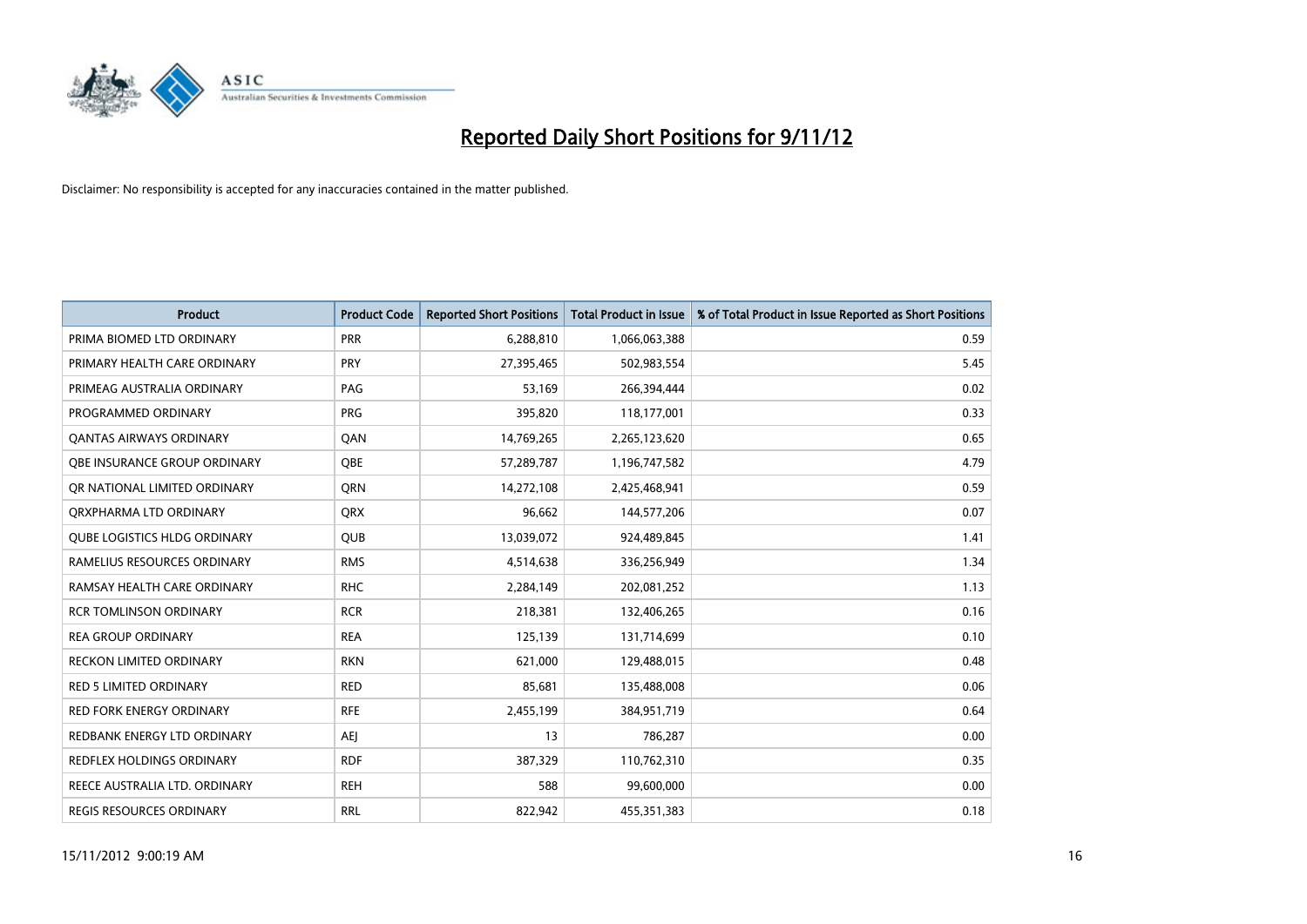

| <b>Product</b>                      | <b>Product Code</b> | <b>Reported Short Positions</b> | <b>Total Product in Issue</b> | % of Total Product in Issue Reported as Short Positions |
|-------------------------------------|---------------------|---------------------------------|-------------------------------|---------------------------------------------------------|
| PRIMA BIOMED LTD ORDINARY           | PRR                 | 6,288,810                       | 1,066,063,388                 | 0.59                                                    |
| PRIMARY HEALTH CARE ORDINARY        | <b>PRY</b>          | 27,395,465                      | 502,983,554                   | 5.45                                                    |
| PRIMEAG AUSTRALIA ORDINARY          | PAG                 | 53,169                          | 266,394,444                   | 0.02                                                    |
| PROGRAMMED ORDINARY                 | <b>PRG</b>          | 395,820                         | 118,177,001                   | 0.33                                                    |
| OANTAS AIRWAYS ORDINARY             | QAN                 | 14,769,265                      | 2,265,123,620                 | 0.65                                                    |
| OBE INSURANCE GROUP ORDINARY        | <b>OBE</b>          | 57,289,787                      | 1,196,747,582                 | 4.79                                                    |
| OR NATIONAL LIMITED ORDINARY        | <b>ORN</b>          | 14,272,108                      | 2,425,468,941                 | 0.59                                                    |
| ORXPHARMA LTD ORDINARY              | <b>ORX</b>          | 96,662                          | 144,577,206                   | 0.07                                                    |
| <b>QUBE LOGISTICS HLDG ORDINARY</b> | <b>QUB</b>          | 13,039,072                      | 924,489,845                   | 1.41                                                    |
| RAMELIUS RESOURCES ORDINARY         | <b>RMS</b>          | 4,514,638                       | 336,256,949                   | 1.34                                                    |
| RAMSAY HEALTH CARE ORDINARY         | <b>RHC</b>          | 2,284,149                       | 202,081,252                   | 1.13                                                    |
| <b>RCR TOMLINSON ORDINARY</b>       | <b>RCR</b>          | 218,381                         | 132,406,265                   | 0.16                                                    |
| <b>REA GROUP ORDINARY</b>           | <b>REA</b>          | 125,139                         | 131,714,699                   | 0.10                                                    |
| <b>RECKON LIMITED ORDINARY</b>      | <b>RKN</b>          | 621,000                         | 129,488,015                   | 0.48                                                    |
| <b>RED 5 LIMITED ORDINARY</b>       | <b>RED</b>          | 85,681                          | 135,488,008                   | 0.06                                                    |
| RED FORK ENERGY ORDINARY            | <b>RFE</b>          | 2,455,199                       | 384,951,719                   | 0.64                                                    |
| REDBANK ENERGY LTD ORDINARY         | <b>AEI</b>          | 13                              | 786,287                       | 0.00                                                    |
| REDFLEX HOLDINGS ORDINARY           | <b>RDF</b>          | 387,329                         | 110,762,310                   | 0.35                                                    |
| REECE AUSTRALIA LTD. ORDINARY       | <b>REH</b>          | 588                             | 99,600,000                    | 0.00                                                    |
| <b>REGIS RESOURCES ORDINARY</b>     | <b>RRL</b>          | 822.942                         | 455,351,383                   | 0.18                                                    |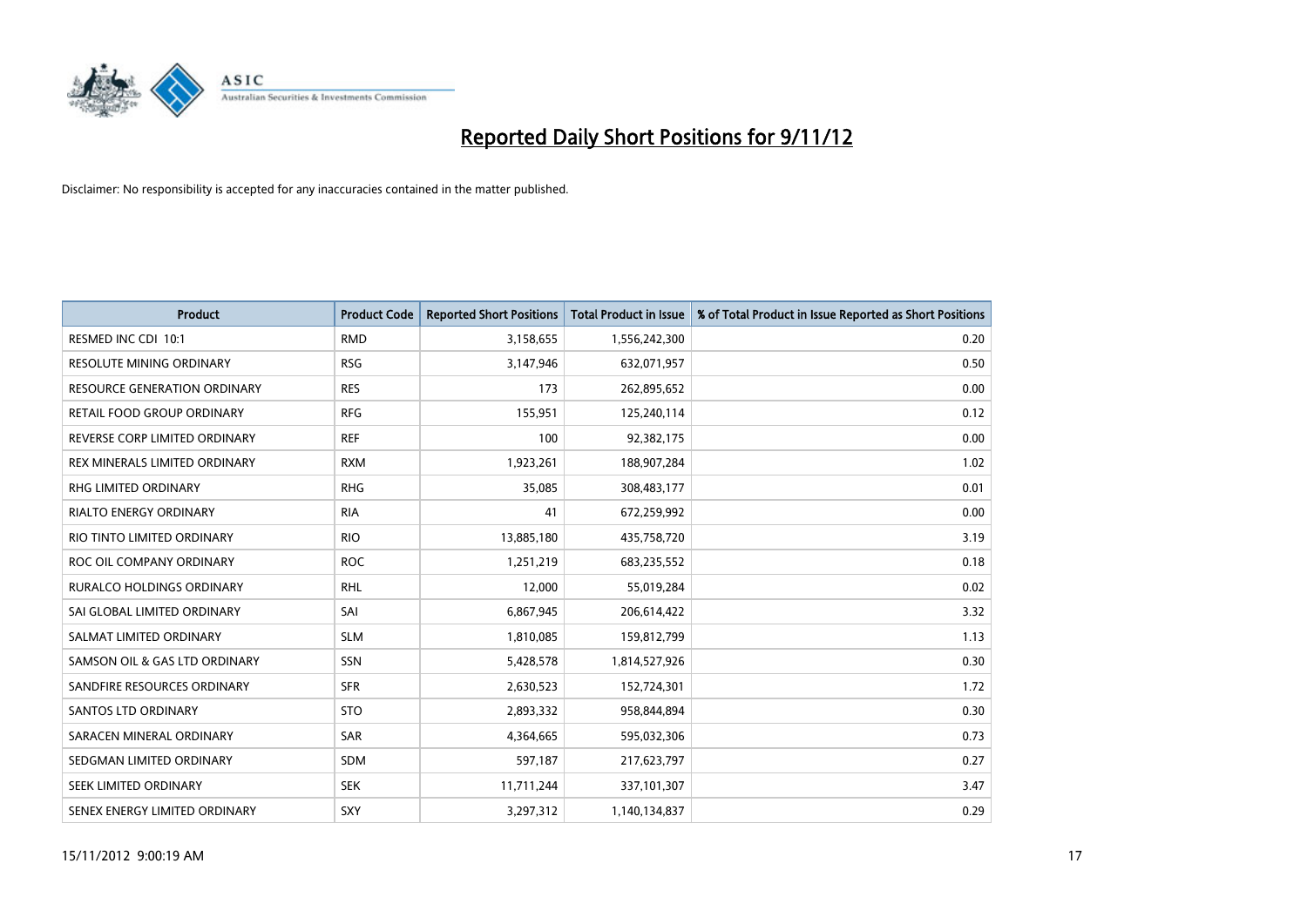

| <b>Product</b>                      | <b>Product Code</b> | <b>Reported Short Positions</b> | <b>Total Product in Issue</b> | % of Total Product in Issue Reported as Short Positions |
|-------------------------------------|---------------------|---------------------------------|-------------------------------|---------------------------------------------------------|
| RESMED INC CDI 10:1                 | <b>RMD</b>          | 3,158,655                       | 1,556,242,300                 | 0.20                                                    |
| RESOLUTE MINING ORDINARY            | <b>RSG</b>          | 3,147,946                       | 632,071,957                   | 0.50                                                    |
| <b>RESOURCE GENERATION ORDINARY</b> | <b>RES</b>          | 173                             | 262,895,652                   | 0.00                                                    |
| RETAIL FOOD GROUP ORDINARY          | <b>RFG</b>          | 155,951                         | 125,240,114                   | 0.12                                                    |
| REVERSE CORP LIMITED ORDINARY       | <b>REF</b>          | 100                             | 92,382,175                    | 0.00                                                    |
| REX MINERALS LIMITED ORDINARY       | <b>RXM</b>          | 1,923,261                       | 188,907,284                   | 1.02                                                    |
| RHG LIMITED ORDINARY                | <b>RHG</b>          | 35,085                          | 308,483,177                   | 0.01                                                    |
| RIALTO ENERGY ORDINARY              | <b>RIA</b>          | 41                              | 672,259,992                   | 0.00                                                    |
| RIO TINTO LIMITED ORDINARY          | <b>RIO</b>          | 13,885,180                      | 435,758,720                   | 3.19                                                    |
| ROC OIL COMPANY ORDINARY            | <b>ROC</b>          | 1,251,219                       | 683,235,552                   | 0.18                                                    |
| RURALCO HOLDINGS ORDINARY           | <b>RHL</b>          | 12,000                          | 55,019,284                    | 0.02                                                    |
| SAI GLOBAL LIMITED ORDINARY         | SAI                 | 6,867,945                       | 206,614,422                   | 3.32                                                    |
| SALMAT LIMITED ORDINARY             | <b>SLM</b>          | 1,810,085                       | 159,812,799                   | 1.13                                                    |
| SAMSON OIL & GAS LTD ORDINARY       | SSN                 | 5,428,578                       | 1,814,527,926                 | 0.30                                                    |
| SANDFIRE RESOURCES ORDINARY         | <b>SFR</b>          | 2,630,523                       | 152,724,301                   | 1.72                                                    |
| <b>SANTOS LTD ORDINARY</b>          | <b>STO</b>          | 2,893,332                       | 958,844,894                   | 0.30                                                    |
| SARACEN MINERAL ORDINARY            | SAR                 | 4,364,665                       | 595,032,306                   | 0.73                                                    |
| SEDGMAN LIMITED ORDINARY            | <b>SDM</b>          | 597,187                         | 217,623,797                   | 0.27                                                    |
| SEEK LIMITED ORDINARY               | <b>SEK</b>          | 11,711,244                      | 337,101,307                   | 3.47                                                    |
| SENEX ENERGY LIMITED ORDINARY       | SXY                 | 3,297,312                       | 1,140,134,837                 | 0.29                                                    |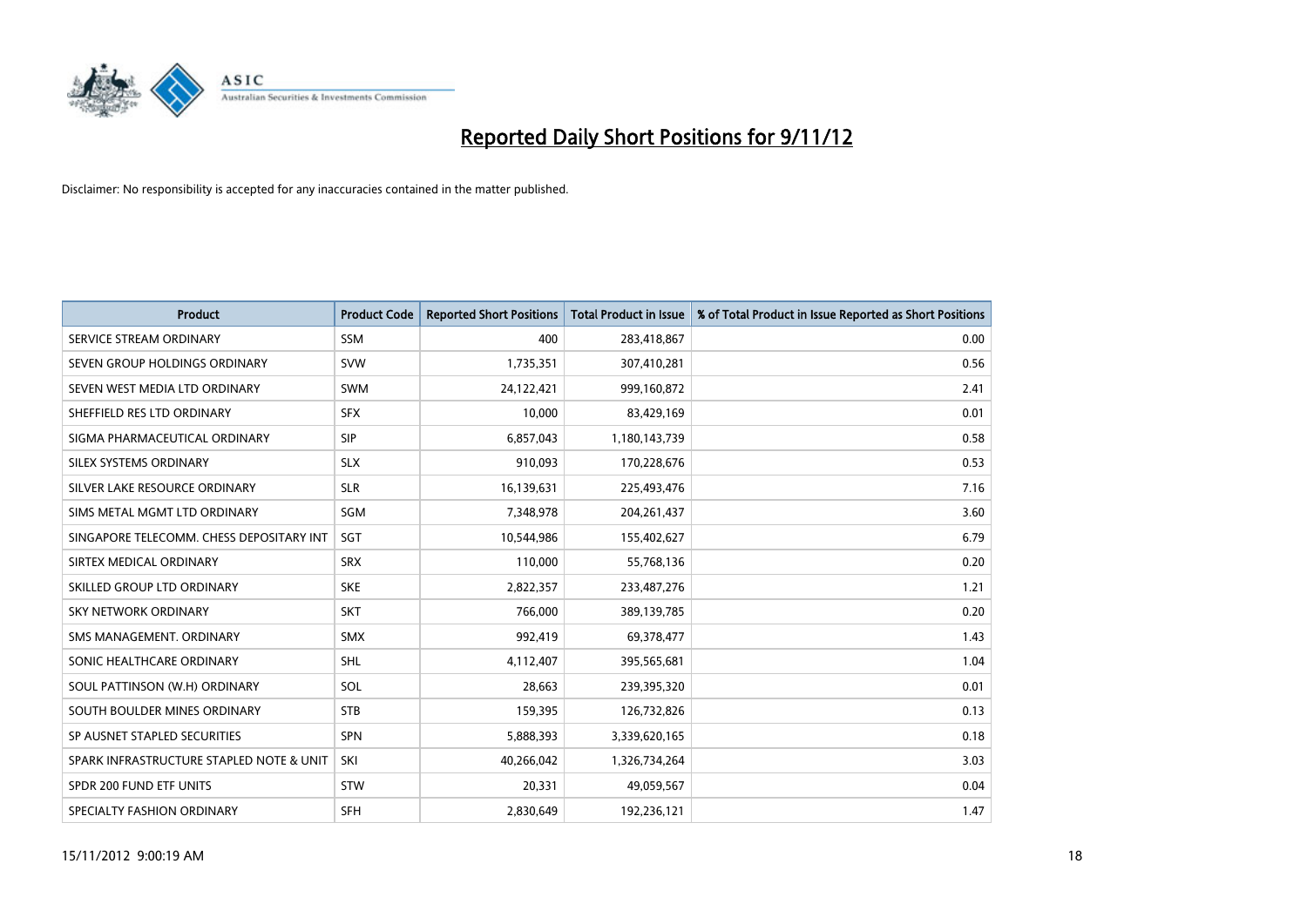

| <b>Product</b>                           | <b>Product Code</b> | <b>Reported Short Positions</b> | <b>Total Product in Issue</b> | % of Total Product in Issue Reported as Short Positions |
|------------------------------------------|---------------------|---------------------------------|-------------------------------|---------------------------------------------------------|
| SERVICE STREAM ORDINARY                  | <b>SSM</b>          | 400                             | 283,418,867                   | 0.00                                                    |
| SEVEN GROUP HOLDINGS ORDINARY            | <b>SVW</b>          | 1,735,351                       | 307,410,281                   | 0.56                                                    |
| SEVEN WEST MEDIA LTD ORDINARY            | <b>SWM</b>          | 24,122,421                      | 999,160,872                   | 2.41                                                    |
| SHEFFIELD RES LTD ORDINARY               | <b>SFX</b>          | 10,000                          | 83,429,169                    | 0.01                                                    |
| SIGMA PHARMACEUTICAL ORDINARY            | <b>SIP</b>          | 6,857,043                       | 1,180,143,739                 | 0.58                                                    |
| SILEX SYSTEMS ORDINARY                   | <b>SLX</b>          | 910,093                         | 170,228,676                   | 0.53                                                    |
| SILVER LAKE RESOURCE ORDINARY            | <b>SLR</b>          | 16,139,631                      | 225,493,476                   | 7.16                                                    |
| SIMS METAL MGMT LTD ORDINARY             | SGM                 | 7,348,978                       | 204, 261, 437                 | 3.60                                                    |
| SINGAPORE TELECOMM. CHESS DEPOSITARY INT | SGT                 | 10,544,986                      | 155,402,627                   | 6.79                                                    |
| SIRTEX MEDICAL ORDINARY                  | <b>SRX</b>          | 110,000                         | 55,768,136                    | 0.20                                                    |
| SKILLED GROUP LTD ORDINARY               | <b>SKE</b>          | 2,822,357                       | 233,487,276                   | 1.21                                                    |
| <b>SKY NETWORK ORDINARY</b>              | <b>SKT</b>          | 766,000                         | 389,139,785                   | 0.20                                                    |
| SMS MANAGEMENT, ORDINARY                 | <b>SMX</b>          | 992,419                         | 69,378,477                    | 1.43                                                    |
| SONIC HEALTHCARE ORDINARY                | <b>SHL</b>          | 4,112,407                       | 395,565,681                   | 1.04                                                    |
| SOUL PATTINSON (W.H) ORDINARY            | SOL                 | 28,663                          | 239,395,320                   | 0.01                                                    |
| SOUTH BOULDER MINES ORDINARY             | <b>STB</b>          | 159,395                         | 126,732,826                   | 0.13                                                    |
| SP AUSNET STAPLED SECURITIES             | <b>SPN</b>          | 5,888,393                       | 3,339,620,165                 | 0.18                                                    |
| SPARK INFRASTRUCTURE STAPLED NOTE & UNIT | <b>SKI</b>          | 40,266,042                      | 1,326,734,264                 | 3.03                                                    |
| SPDR 200 FUND ETF UNITS                  | <b>STW</b>          | 20,331                          | 49,059,567                    | 0.04                                                    |
| SPECIALTY FASHION ORDINARY               | <b>SFH</b>          | 2,830,649                       | 192,236,121                   | 1.47                                                    |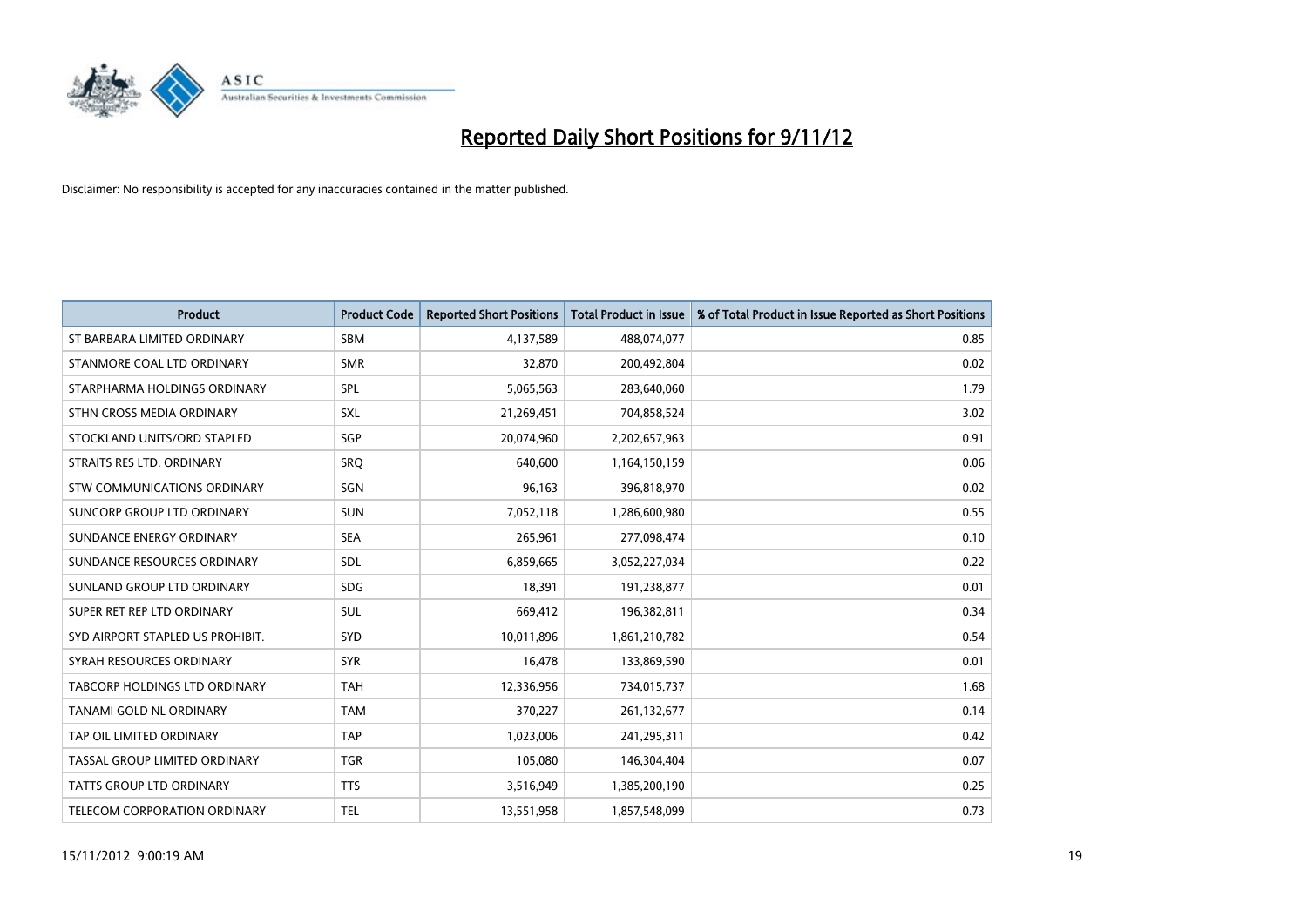

| <b>Product</b>                   | <b>Product Code</b> | <b>Reported Short Positions</b> | <b>Total Product in Issue</b> | % of Total Product in Issue Reported as Short Positions |
|----------------------------------|---------------------|---------------------------------|-------------------------------|---------------------------------------------------------|
| ST BARBARA LIMITED ORDINARY      | <b>SBM</b>          | 4,137,589                       | 488,074,077                   | 0.85                                                    |
| STANMORE COAL LTD ORDINARY       | <b>SMR</b>          | 32,870                          | 200,492,804                   | 0.02                                                    |
| STARPHARMA HOLDINGS ORDINARY     | SPL                 | 5,065,563                       | 283,640,060                   | 1.79                                                    |
| STHN CROSS MEDIA ORDINARY        | SXL                 | 21,269,451                      | 704,858,524                   | 3.02                                                    |
| STOCKLAND UNITS/ORD STAPLED      | SGP                 | 20,074,960                      | 2,202,657,963                 | 0.91                                                    |
| STRAITS RES LTD. ORDINARY        | SRQ                 | 640,600                         | 1,164,150,159                 | 0.06                                                    |
| STW COMMUNICATIONS ORDINARY      | SGN                 | 96,163                          | 396,818,970                   | 0.02                                                    |
| SUNCORP GROUP LTD ORDINARY       | <b>SUN</b>          | 7,052,118                       | 1,286,600,980                 | 0.55                                                    |
| SUNDANCE ENERGY ORDINARY         | <b>SEA</b>          | 265,961                         | 277,098,474                   | 0.10                                                    |
| SUNDANCE RESOURCES ORDINARY      | <b>SDL</b>          | 6,859,665                       | 3,052,227,034                 | 0.22                                                    |
| SUNLAND GROUP LTD ORDINARY       | <b>SDG</b>          | 18,391                          | 191,238,877                   | 0.01                                                    |
| SUPER RET REP LTD ORDINARY       | <b>SUL</b>          | 669,412                         | 196,382,811                   | 0.34                                                    |
| SYD AIRPORT STAPLED US PROHIBIT. | <b>SYD</b>          | 10,011,896                      | 1,861,210,782                 | 0.54                                                    |
| SYRAH RESOURCES ORDINARY         | <b>SYR</b>          | 16,478                          | 133,869,590                   | 0.01                                                    |
| TABCORP HOLDINGS LTD ORDINARY    | <b>TAH</b>          | 12,336,956                      | 734,015,737                   | 1.68                                                    |
| TANAMI GOLD NL ORDINARY          | <b>TAM</b>          | 370,227                         | 261,132,677                   | 0.14                                                    |
| TAP OIL LIMITED ORDINARY         | <b>TAP</b>          | 1,023,006                       | 241,295,311                   | 0.42                                                    |
| TASSAL GROUP LIMITED ORDINARY    | <b>TGR</b>          | 105,080                         | 146,304,404                   | 0.07                                                    |
| <b>TATTS GROUP LTD ORDINARY</b>  | <b>TTS</b>          | 3,516,949                       | 1,385,200,190                 | 0.25                                                    |
| TELECOM CORPORATION ORDINARY     | <b>TEL</b>          | 13,551,958                      | 1,857,548,099                 | 0.73                                                    |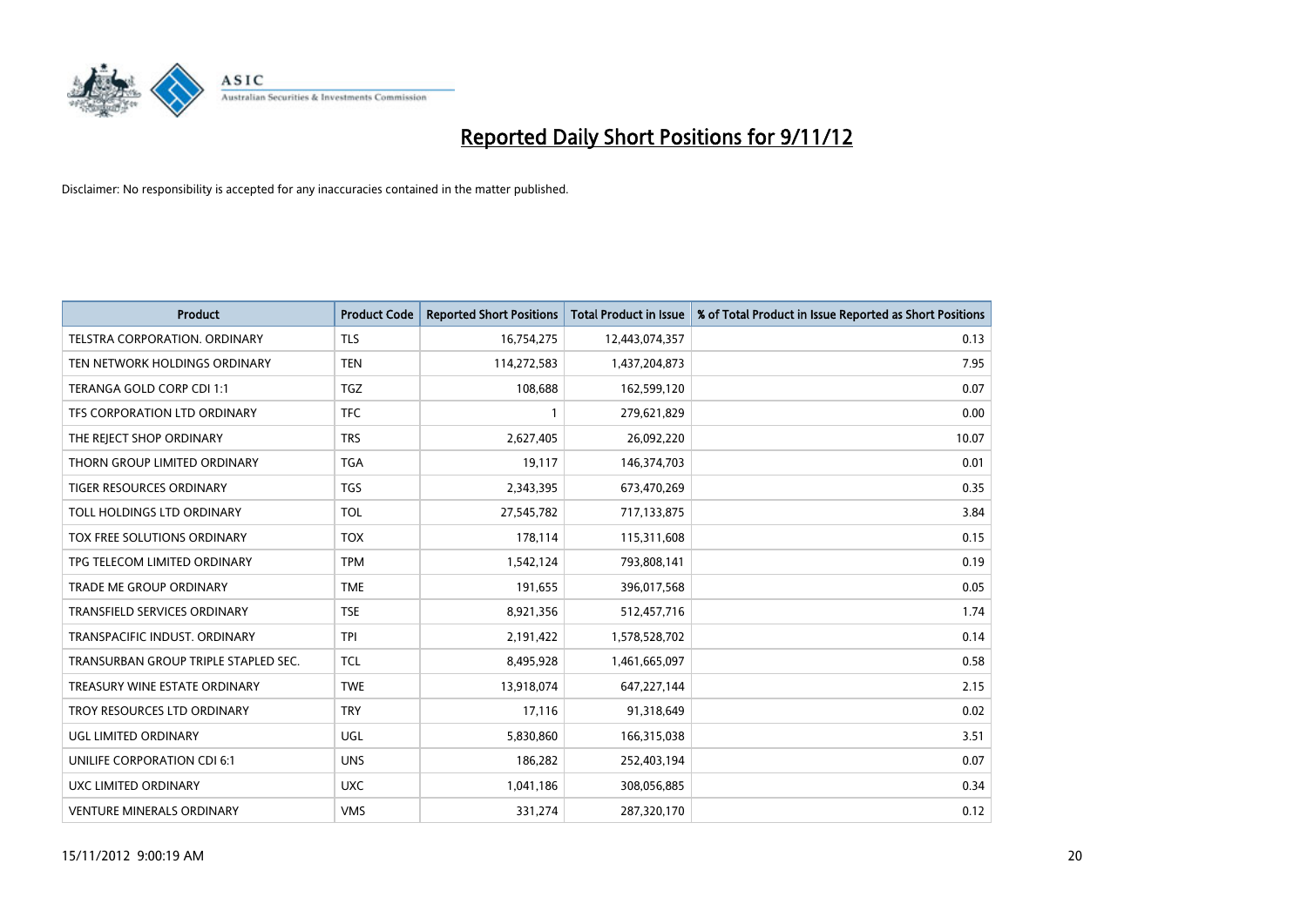

| <b>Product</b>                       | <b>Product Code</b> | <b>Reported Short Positions</b> | <b>Total Product in Issue</b> | % of Total Product in Issue Reported as Short Positions |
|--------------------------------------|---------------------|---------------------------------|-------------------------------|---------------------------------------------------------|
| <b>TELSTRA CORPORATION, ORDINARY</b> | <b>TLS</b>          | 16,754,275                      | 12,443,074,357                | 0.13                                                    |
| TEN NETWORK HOLDINGS ORDINARY        | <b>TEN</b>          | 114,272,583                     | 1,437,204,873                 | 7.95                                                    |
| TERANGA GOLD CORP CDI 1:1            | <b>TGZ</b>          | 108,688                         | 162,599,120                   | 0.07                                                    |
| TFS CORPORATION LTD ORDINARY         | <b>TFC</b>          |                                 | 279,621,829                   | 0.00                                                    |
| THE REJECT SHOP ORDINARY             | <b>TRS</b>          | 2,627,405                       | 26,092,220                    | 10.07                                                   |
| THORN GROUP LIMITED ORDINARY         | <b>TGA</b>          | 19,117                          | 146,374,703                   | 0.01                                                    |
| <b>TIGER RESOURCES ORDINARY</b>      | <b>TGS</b>          | 2,343,395                       | 673,470,269                   | 0.35                                                    |
| TOLL HOLDINGS LTD ORDINARY           | <b>TOL</b>          | 27,545,782                      | 717,133,875                   | 3.84                                                    |
| TOX FREE SOLUTIONS ORDINARY          | <b>TOX</b>          | 178,114                         | 115,311,608                   | 0.15                                                    |
| TPG TELECOM LIMITED ORDINARY         | <b>TPM</b>          | 1,542,124                       | 793,808,141                   | 0.19                                                    |
| <b>TRADE ME GROUP ORDINARY</b>       | <b>TME</b>          | 191,655                         | 396,017,568                   | 0.05                                                    |
| <b>TRANSFIELD SERVICES ORDINARY</b>  | <b>TSE</b>          | 8,921,356                       | 512,457,716                   | 1.74                                                    |
| TRANSPACIFIC INDUST, ORDINARY        | <b>TPI</b>          | 2,191,422                       | 1,578,528,702                 | 0.14                                                    |
| TRANSURBAN GROUP TRIPLE STAPLED SEC. | <b>TCL</b>          | 8,495,928                       | 1,461,665,097                 | 0.58                                                    |
| TREASURY WINE ESTATE ORDINARY        | <b>TWE</b>          | 13,918,074                      | 647,227,144                   | 2.15                                                    |
| TROY RESOURCES LTD ORDINARY          | <b>TRY</b>          | 17,116                          | 91,318,649                    | 0.02                                                    |
| UGL LIMITED ORDINARY                 | UGL                 | 5,830,860                       | 166,315,038                   | 3.51                                                    |
| UNILIFE CORPORATION CDI 6:1          | <b>UNS</b>          | 186,282                         | 252,403,194                   | 0.07                                                    |
| UXC LIMITED ORDINARY                 | <b>UXC</b>          | 1,041,186                       | 308,056,885                   | 0.34                                                    |
| <b>VENTURE MINERALS ORDINARY</b>     | <b>VMS</b>          | 331,274                         | 287,320,170                   | 0.12                                                    |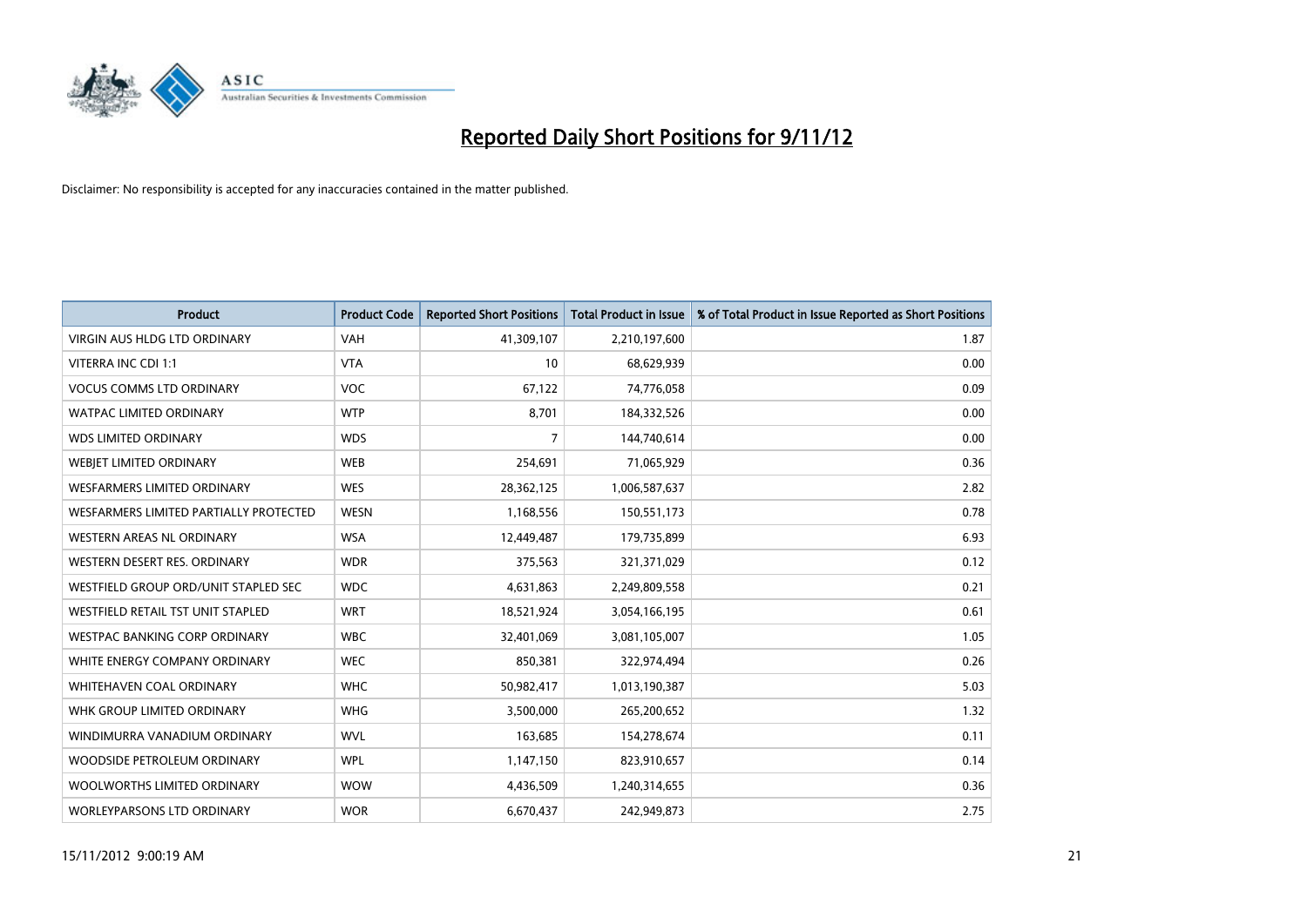

| <b>Product</b>                         | <b>Product Code</b> | <b>Reported Short Positions</b> | <b>Total Product in Issue</b> | % of Total Product in Issue Reported as Short Positions |
|----------------------------------------|---------------------|---------------------------------|-------------------------------|---------------------------------------------------------|
| <b>VIRGIN AUS HLDG LTD ORDINARY</b>    | <b>VAH</b>          | 41,309,107                      | 2,210,197,600                 | 1.87                                                    |
| VITERRA INC CDI 1:1                    | <b>VTA</b>          | 10                              | 68,629,939                    | 0.00                                                    |
| <b>VOCUS COMMS LTD ORDINARY</b>        | <b>VOC</b>          | 67,122                          | 74,776,058                    | 0.09                                                    |
| WATPAC LIMITED ORDINARY                | <b>WTP</b>          | 8,701                           | 184,332,526                   | 0.00                                                    |
| <b>WDS LIMITED ORDINARY</b>            | <b>WDS</b>          | $\overline{7}$                  | 144,740,614                   | 0.00                                                    |
| WEBIET LIMITED ORDINARY                | <b>WEB</b>          | 254,691                         | 71,065,929                    | 0.36                                                    |
| <b>WESFARMERS LIMITED ORDINARY</b>     | <b>WES</b>          | 28,362,125                      | 1,006,587,637                 | 2.82                                                    |
| WESFARMERS LIMITED PARTIALLY PROTECTED | <b>WESN</b>         | 1,168,556                       | 150,551,173                   | 0.78                                                    |
| WESTERN AREAS NL ORDINARY              | <b>WSA</b>          | 12,449,487                      | 179,735,899                   | 6.93                                                    |
| WESTERN DESERT RES. ORDINARY           | <b>WDR</b>          | 375,563                         | 321,371,029                   | 0.12                                                    |
| WESTFIELD GROUP ORD/UNIT STAPLED SEC   | <b>WDC</b>          | 4,631,863                       | 2,249,809,558                 | 0.21                                                    |
| WESTFIELD RETAIL TST UNIT STAPLED      | <b>WRT</b>          | 18,521,924                      | 3,054,166,195                 | 0.61                                                    |
| <b>WESTPAC BANKING CORP ORDINARY</b>   | <b>WBC</b>          | 32,401,069                      | 3,081,105,007                 | 1.05                                                    |
| WHITE ENERGY COMPANY ORDINARY          | <b>WEC</b>          | 850,381                         | 322,974,494                   | 0.26                                                    |
| <b>WHITEHAVEN COAL ORDINARY</b>        | <b>WHC</b>          | 50,982,417                      | 1,013,190,387                 | 5.03                                                    |
| WHK GROUP LIMITED ORDINARY             | <b>WHG</b>          | 3,500,000                       | 265,200,652                   | 1.32                                                    |
| WINDIMURRA VANADIUM ORDINARY           | <b>WVL</b>          | 163,685                         | 154,278,674                   | 0.11                                                    |
| WOODSIDE PETROLEUM ORDINARY            | <b>WPL</b>          | 1,147,150                       | 823,910,657                   | 0.14                                                    |
| WOOLWORTHS LIMITED ORDINARY            | <b>WOW</b>          | 4,436,509                       | 1,240,314,655                 | 0.36                                                    |
| WORLEYPARSONS LTD ORDINARY             | <b>WOR</b>          | 6,670,437                       | 242,949,873                   | 2.75                                                    |